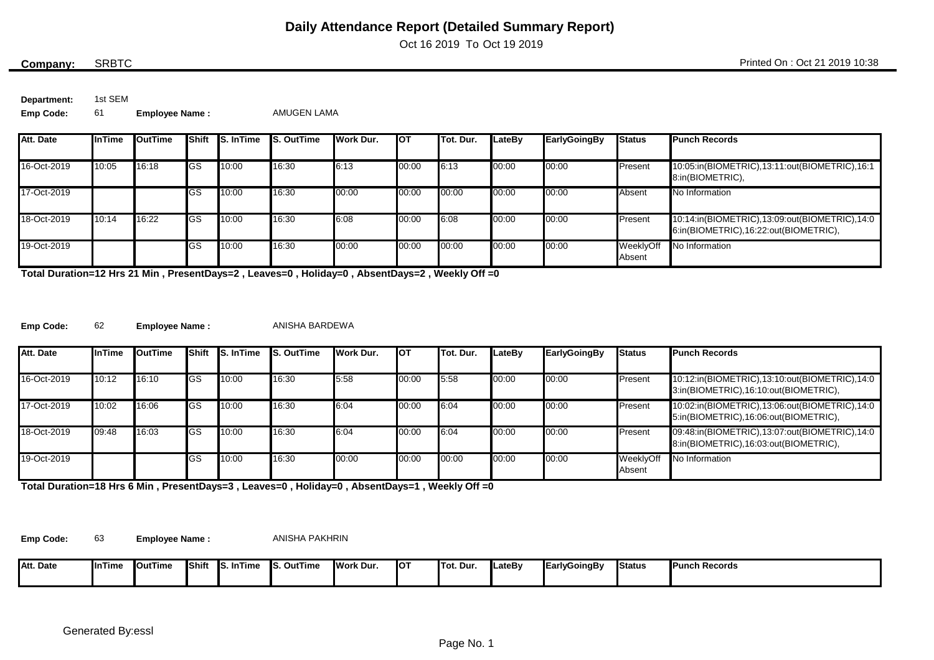Oct 16 2019 To Oct 19 2019

### SRBTC

**Company:** SRBTC Printed On : Oct 21 2019 10:38

**Department:** 1st SEM

**Emp Code:** 61 **Employee Name :** AMUGEN LAMA

| Att. Date   | <b>InTime</b> | <b>OutTime</b> | <b>Shift</b> | <b>S.</b> InTime | <b>S. OutTime</b> | Work Dur. | <b>I</b> OT | <b>ITot. Dur.</b> | LateBv | EarlyGoingBy | <b>Status</b>       | <b>Punch Records</b>                                                                   |
|-------------|---------------|----------------|--------------|------------------|-------------------|-----------|-------------|-------------------|--------|--------------|---------------------|----------------------------------------------------------------------------------------|
|             |               |                |              |                  |                   |           |             |                   |        |              |                     |                                                                                        |
| 16-Oct-2019 | 10:05         | 16:18          | <b>IGS</b>   | 10:00            | 16:30             | 6:13      | 00:00       | 6:13              | 00:00  | 00:00        | Present             | 10:05:in(BIOMETRIC),13:11:out(BIOMETRIC),16:1<br>8:in(BIOMETRIC),                      |
| 17-Oct-2019 |               |                | lGS          | 10:00            | 16:30             | 00:00     | 00:00       | 00:00             | 00:00  | 00:00        | Absent              | No Information                                                                         |
| 18-Oct-2019 | 10:14         | 16:22          | <b>IGS</b>   | 10:00            | 16:30             | 6:08      | 00:00       | 6:08              | 00:00  | 00:00        | Present             | 10:14:in(BIOMETRIC),13:09:out(BIOMETRIC),14:0<br>6:in(BIOMETRIC),16:22:out(BIOMETRIC), |
| 19-Oct-2019 |               |                | lGS          | 10:00            | 16:30             | 00:00     | 00:00       | 00:00             | 00:00  | 00:00        | WeeklyOff<br>Absent | No Information                                                                         |

**Total Duration=12 Hrs 21 Min , PresentDays=2 , Leaves=0 , Holiday=0 , AbsentDays=2 , Weekly Off =0**

**Emp Code:** 62

**Employee Name :** ANISHA BARDEWA

| Att. Date   | <b>InTime</b> | <b>OutTime</b> |            | <b>Shift IS. In Time</b> | <b>S. OutTime</b> | Work Dur. | <b>I</b> OT | Tot. Dur. | LateBv | <b>EarlyGoingBy</b> | <b>Status</b>       | <b>Punch Records</b>                                                                   |
|-------------|---------------|----------------|------------|--------------------------|-------------------|-----------|-------------|-----------|--------|---------------------|---------------------|----------------------------------------------------------------------------------------|
| 16-Oct-2019 | 10:12         | 16:10          | <b>GS</b>  | 10:00                    | 16:30             | 5:58      | 00:00       | 5:58      | 00:00  | 00:00               | Present             | 10:12:in(BIOMETRIC),13:10:out(BIOMETRIC),14:0<br>3:in(BIOMETRIC),16:10:out(BIOMETRIC), |
| 17-Oct-2019 | 10:02         | 16:06          | <b>GS</b>  | 10:00                    | 16:30             | 6:04      | 00:00       | 6:04      | 00:00  | 00:00               | Present             | 10:02:in(BIOMETRIC),13:06:out(BIOMETRIC),14:0<br>5:in(BIOMETRIC),16:06:out(BIOMETRIC), |
| 18-Oct-2019 | 09:48         | 16:03          | <b>IGS</b> | 10:00                    | 16:30             | 6:04      | 00:00       | 6:04      | 00:00  | 00:00               | Present             | 09:48:in(BIOMETRIC),13:07:out(BIOMETRIC),14:0<br>8:in(BIOMETRIC),16:03:out(BIOMETRIC), |
| 19-Oct-2019 |               |                | <b>GS</b>  | 10:00                    | 16:30             | 00:00     | 00:00       | 00:00     | 00:00  | 00:00               | WeeklyOff<br>Absent | No Information                                                                         |

**Total Duration=18 Hrs 6 Min , PresentDays=3 , Leaves=0 , Holiday=0 , AbsentDays=1 , Weekly Off =0**

**Emp Code:** 63

**Employee Name :** ANISHA PAKHRIN

| Att. Date | InTime | <b>OutTime</b> | <b>IShift</b> | ำTime<br>- Ic<br>-In I<br>. . | <b>S. OutTime</b> | <b>I</b> Work Dur. | IO1 | <b>ITot. Dur.</b> | <b>ILateB</b> v | <b>EarlyGoingBy</b> | <b>Status</b> | <b>Punch Records</b> |
|-----------|--------|----------------|---------------|-------------------------------|-------------------|--------------------|-----|-------------------|-----------------|---------------------|---------------|----------------------|
|           |        |                |               |                               |                   |                    |     |                   |                 |                     |               |                      |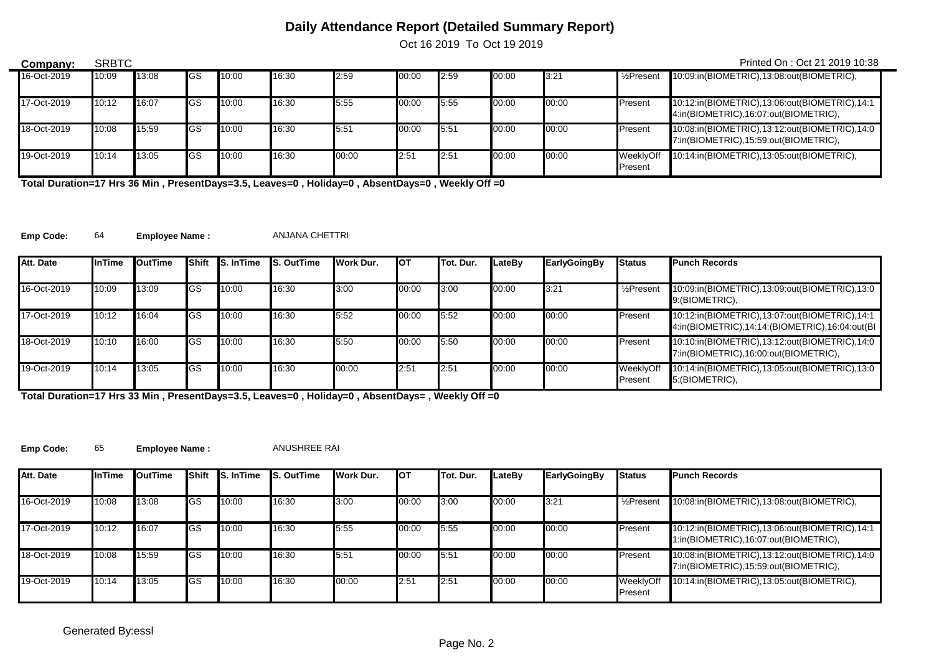Oct 16 2019 To Oct 19 2019

| Company:    | <b>SRBTC</b> |       |            |       |       |       |       |      |       |       |                       | Printed On: Oct 21 2019 10:38                                                          |
|-------------|--------------|-------|------------|-------|-------|-------|-------|------|-------|-------|-----------------------|----------------------------------------------------------------------------------------|
| 16-Oct-2019 | 10:09        | 13:08 | <b>GS</b>  | 10:00 | 16:30 | 2:59  | 00:00 | 2:59 | 00:00 | 3:21  | $\frac{1}{2}$ Present | 10:09:in(BIOMETRIC),13:08:out(BIOMETRIC),                                              |
| 17-Oct-2019 | 10:12        | 16:07 | <b>IGS</b> | 10:00 | 16:30 | 5:55  | 00:00 | 5:55 | 00:00 | 00:00 | Present               | 10:12:in(BIOMETRIC),13:06:out(BIOMETRIC),14:1<br>4:in(BIOMETRIC),16:07:out(BIOMETRIC), |
| 18-Oct-2019 | 10:08        | 15:59 | <b>IGS</b> | 10:00 | 16:30 | 5:51  | 00:00 | 5:51 | 00:00 | 00:00 | Present               | 10:08:in(BIOMETRIC),13:12:out(BIOMETRIC),14:0<br>7:in(BIOMETRIC),15:59:out(BIOMETRIC), |
| 19-Oct-2019 | 10:14        | 13:05 | <b>IGS</b> | 10:00 | 16:30 | 00:00 | 2:51  | 2:51 | 00:00 | 00:00 | WeeklyOff<br>Present  | 10:14:in(BIOMETRIC),13:05:out(BIOMETRIC),                                              |

**Total Duration=17 Hrs 36 Min , PresentDays=3.5, Leaves=0 , Holiday=0 , AbsentDays=0 , Weekly Off =0**

**Emp Code:** 64 **Employee Name :** ANJANA CHETTRI

| Att. Date   | <b>InTime</b> | <b>I</b> OutTime |    | <b>Shift IS. In Time</b> | <b>IS. OutTime</b> | Work Dur. | <b>I</b> OT | Tot. Dur. | LateBv | <b>EarlyGoingBy</b> | <b>Status</b>           | <b>Punch Records</b>                                                                            |
|-------------|---------------|------------------|----|--------------------------|--------------------|-----------|-------------|-----------|--------|---------------------|-------------------------|-------------------------------------------------------------------------------------------------|
|             |               |                  |    |                          |                    |           |             |           |        |                     |                         |                                                                                                 |
| 16-Oct-2019 | 10:09         | 13:09            | GS | 10:00                    | 16:30              | 3:00      | 00:00       | 3:00      | 00:00  | 3:21                | 1/ <sub>2</sub> Present | 10:09:in(BIOMETRIC),13:09:out(BIOMETRIC),13:0<br>9: (BIOMETRIC),                                |
| 17-Oct-2019 | 10:12         | 16:04            | GS | 10:00                    | 16:30              | 5:52      | 00:00       | 5:52      | 00:00  | 00:00               | Present                 | 10:12:in(BIOMETRIC),13:07:out(BIOMETRIC),14:1<br>4:in(BIOMETRIC),14:14:(BIOMETRIC),16:04:out(BI |
| 18-Oct-2019 | 10:10         | 16:00            | GS | 10:00                    | 16:30              | 5:50      | 00:00       | 5:50      | 00:00  | 00:00               | Present                 | 10:10:in(BIOMETRIC),13:12:out(BIOMETRIC),14:0<br>7:in(BIOMETRIC),16:00:out(BIOMETRIC),          |
| 19-Oct-2019 | 10:14         | 13:05            | GS | 10:00                    | 16:30              | 00:00     | 2:51        | 2:51      | 00:00  | 00:00               | WeeklyOff<br>Present    | 10:14:in(BIOMETRIC),13:05:out(BIOMETRIC),13:0<br>5: (BIOMETRIC),                                |

**Total Duration=17 Hrs 33 Min , PresentDays=3.5, Leaves=0 , Holiday=0 , AbsentDays= , Weekly Off =0**

**Emp Code:** 65 **Employee Name :** ANUSHREE RAI

| Att. Date   | <b>InTime</b> | OutTime | <b>Shift</b> | <b>S.</b> InTime | <b>S. OutTime</b> | Work Dur. | <b>I</b> OT | Tot. Dur. | LateBv | <b>EarlyGoingBy</b> | <b>Status</b>                | <b>Punch Records</b>                                                                   |
|-------------|---------------|---------|--------------|------------------|-------------------|-----------|-------------|-----------|--------|---------------------|------------------------------|----------------------------------------------------------------------------------------|
| 16-Oct-2019 | 10:08         | 13:08   | <b>IGS</b>   | 10:00            | 16:30             | 3:00      | 00:00       | 3:00      | 00:00  | 3:21                | $\frac{1}{2}$ Present        | 10:08:in(BIOMETRIC),13:08:out(BIOMETRIC),                                              |
| 17-Oct-2019 | 10:12         | 16:07   | <b>IGS</b>   | 10:00            | 16:30             | 5:55      | 00:00       | 5:55      | 00:00  | 00:00               | <b>Present</b>               | 10:12:in(BIOMETRIC),13:06:out(BIOMETRIC),14:1<br>1:in(BIOMETRIC),16:07:out(BIOMETRIC), |
| 18-Oct-2019 | 10:08         | 15:59   | <b>IGS</b>   | 10:00            | 16:30             | 5:51      | 00:00       | 5:51      | 00:00  | 00:00               | Present                      | 10:08:in(BIOMETRIC),13:12:out(BIOMETRIC),14:0<br>7:in(BIOMETRIC),15:59:out(BIOMETRIC), |
| 19-Oct-2019 | 10:14         | 13:05   | <b>IGS</b>   | 10:00            | 16:30             | 00:00     | 2:51        | 2:51      | 00:00  | 00:00               | WeeklyOff<br><b>IPresent</b> | 10:14:in(BIOMETRIC),13:05:out(BIOMETRIC),                                              |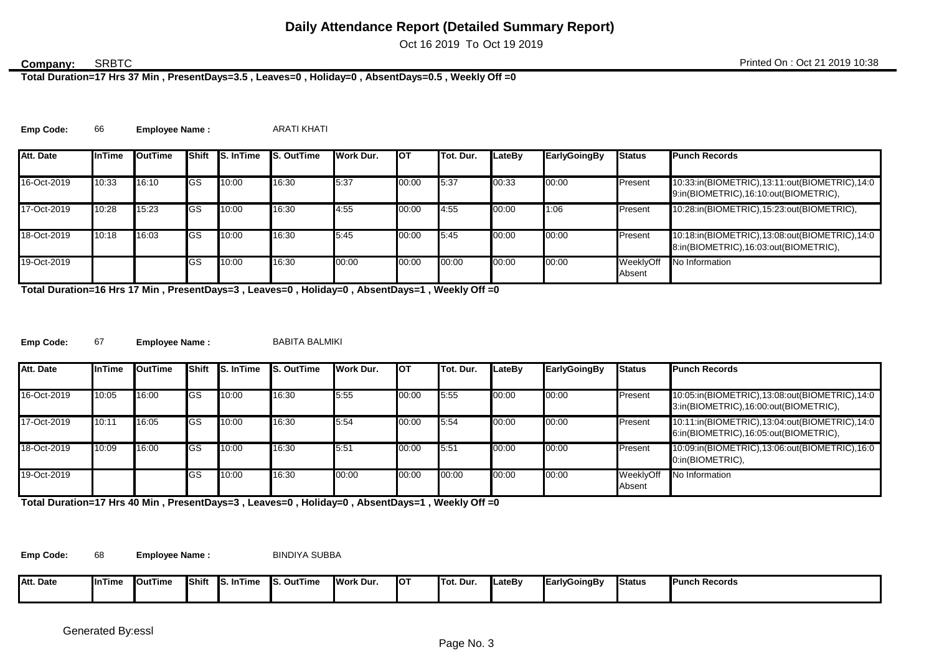Oct 16 2019 To Oct 19 2019

### **SRBTC**

**Total Duration=17 Hrs 37 Min , PresentDays=3.5 , Leaves=0 , Holiday=0 , AbsentDays=0.5 , Weekly Off =0**

**Emp Code:** 66 **Employee Name :** ARATI KHATI

| Att. Date   | <b>InTime</b> | OutTime | <b>I</b> Shift | <b>S.</b> InTime | <b>IS. OutTime</b> | Work Dur. | <b>I</b> OT | Tot. Dur. | LateBv | EarlyGoingBy | <b>Status</b>       | <b>Punch Records</b>                                                                   |
|-------------|---------------|---------|----------------|------------------|--------------------|-----------|-------------|-----------|--------|--------------|---------------------|----------------------------------------------------------------------------------------|
|             |               |         |                |                  |                    |           |             |           |        |              |                     |                                                                                        |
| 16-Oct-2019 | 10:33         | 16:10   | <b>I</b> GS    | 10:00            | 16:30              | 5:37      | 00:00       | 15:37     | 00:33  | 00:00        | Present             | 10:33:in(BIOMETRIC),13:11:out(BIOMETRIC),14:0<br>9:in(BIOMETRIC),16:10:out(BIOMETRIC), |
| 17-Oct-2019 | 10:28         | 15:23   | <b>I</b> GS    | 10:00            | 16:30              | 4:55      | 00:00       | 4:55      | 00:00  | 1:06         | Present             | 10:28:in(BIOMETRIC),15:23:out(BIOMETRIC),                                              |
| 18-Oct-2019 | 10:18         | 16:03   | <b>I</b> GS    | 10:00            | 16:30              | 5:45      | 00:00       | 5:45      | 00:00  | 00:00        | Present             | 10:18:in(BIOMETRIC),13:08:out(BIOMETRIC),14:0<br>8:in(BIOMETRIC),16:03:out(BIOMETRIC), |
| 19-Oct-2019 |               |         | lGS            | 10:00            | 16:30              | 00:00     | 00:00       | 00:00     | 00:00  | 00:00        | WeeklyOff<br>Absent | No Information                                                                         |

**Total Duration=16 Hrs 17 Min , PresentDays=3 , Leaves=0 , Holiday=0 , AbsentDays=1 , Weekly Off =0**

**Emp Code:** 67 Employee Name : BABITA BALMIKI

| Att. Date   | <b>InTime</b> | <b>OutTime</b> | IShift      | <b>S.</b> InTime | <b>S. OutTime</b> | Work Dur. | <b>I</b> OT | Tot. Dur. | LateBy | EarlyGoingBy | <b>Status</b>       | <b>Punch Records</b>                                                                   |
|-------------|---------------|----------------|-------------|------------------|-------------------|-----------|-------------|-----------|--------|--------------|---------------------|----------------------------------------------------------------------------------------|
| 16-Oct-2019 | 10:05         | 16:00          | <b>IGS</b>  | 10:00            | 16:30             | 5:55      | 00:00       | 5:55      | 00:00  | 00:00        | Present             | 10:05:in(BIOMETRIC),13:08:out(BIOMETRIC),14:0<br>3:in(BIOMETRIC),16:00:out(BIOMETRIC), |
| 17-Oct-2019 | 10:11         | 16:05          | <b>IGS</b>  | 10:00            | 16:30             | 5:54      | 00:00       | 5:54      | 00:00  | 00:00        | Present             | 10:11:in(BIOMETRIC),13:04:out(BIOMETRIC),14:0<br>6:in(BIOMETRIC),16:05:out(BIOMETRIC), |
| 18-Oct-2019 | 10:09         | 16:00          | <b>I</b> GS | 10:00            | 16:30             | 5:51      | 00:00       | 5:51      | 00:00  | 00:00        | Present             | 10:09:in(BIOMETRIC),13:06:out(BIOMETRIC),16:0<br>0:in(BIOMETRIC),                      |
| 19-Oct-2019 |               |                | <b>IGS</b>  | 10:00            | 16:30             | 00:00     | 00:00       | 00:00     | 00:00  | 00:00        | WeeklyOff<br>Absent | No Information                                                                         |

**Total Duration=17 Hrs 40 Min , PresentDays=3 , Leaves=0 , Holiday=0 , AbsentDays=1 , Weekly Off =0**

**Emp Code:** 68 Employee Name : BINDIYA SUBBA

| Att. Date<br>^+ | <b>IlnTime</b> | <b>I</b> OutTime | <b>IShift</b> | <b>InTime</b><br>- Ic | . .<br>. OutTime | Work Dur. | <b>I</b> OT | Tot. Dur. | LateBv | <b>Early</b><br>GoinaBv | <b>Status</b> | <b>Punch Records</b> |
|-----------------|----------------|------------------|---------------|-----------------------|------------------|-----------|-------------|-----------|--------|-------------------------|---------------|----------------------|
|                 |                |                  |               | . .                   | .                |           |             |           |        |                         |               |                      |
|                 |                |                  |               |                       |                  |           |             |           |        |                         |               |                      |
|                 |                |                  |               |                       |                  |           |             |           |        |                         |               |                      |
|                 |                |                  |               |                       |                  |           |             |           |        |                         |               |                      |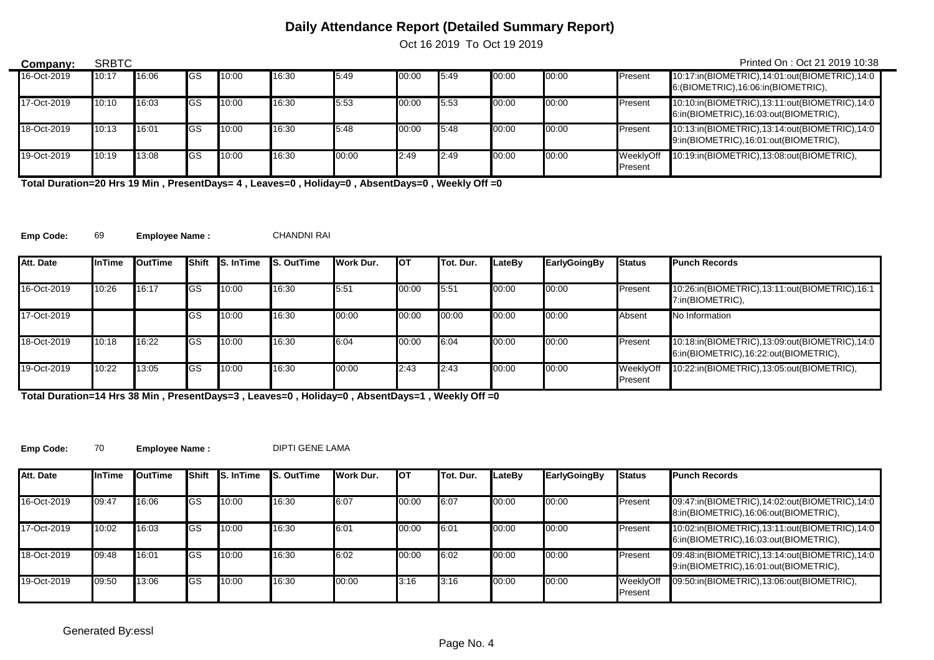Oct 16 2019 To Oct 19 2019

| Company:    | <b>SRBTC</b> |       |             |       |       |       |       |      |       |       |                      | Printed On: Oct 21 2019 10:38                                                           |
|-------------|--------------|-------|-------------|-------|-------|-------|-------|------|-------|-------|----------------------|-----------------------------------------------------------------------------------------|
| 16-Oct-2019 | 10:17        | 16:06 | lGS         | 10:00 | 16:30 | 5:49  | 00:00 | 5:49 | 00:00 | 00:00 | Present              | 10:17:in(BIOMETRIC),14:01:out(BIOMETRIC),14:0<br>6: (BIOMETRIC), 16:06: in (BIOMETRIC), |
| 17-Oct-2019 | 10:10        | 16:03 | <b>I</b> GS | 10:00 | 16:30 | 5:53  | 00:00 | 5:53 | 00:00 | 00:00 | Present              | 10:10:in(BIOMETRIC),13:11:out(BIOMETRIC),14:0<br>6:in(BIOMETRIC),16:03:out(BIOMETRIC),  |
| 18-Oct-2019 | 10:13        | 16:01 | <b>I</b> GS | 10:00 | 16:30 | 5:48  | 00:00 | 5:48 | 00:00 | 00:00 | Present              | 10:13:in(BIOMETRIC),13:14:out(BIOMETRIC),14:0<br>9:in(BIOMETRIC),16:01:out(BIOMETRIC),  |
| 19-Oct-2019 | 10:19        | 13:08 | <b>I</b> GS | 10:00 | 16:30 | 00:00 | 2:49  | 2:49 | 00:00 | 00:00 | WeeklvOff<br>Present | 10:19:in(BIOMETRIC),13:08:out(BIOMETRIC),                                               |

**Total Duration=20 Hrs 19 Min , PresentDays= 4 , Leaves=0 , Holiday=0 , AbsentDays=0 , Weekly Off =0**

**Emp Code:** 69 **Employee Name :** CHANDNI RAI

 $\overline{\phantom{0}}$ 

| Att. Date   | <b>InTime</b> | <b>OutTime</b> |             | Shift S. In Time | <b>S. OutTime</b> | Work Dur. | Iот   | <b>ITot. Dur.</b> | LateBv | EarlyGoingBy | <b>Status</b>        | <b>Punch Records</b>                                                                   |
|-------------|---------------|----------------|-------------|------------------|-------------------|-----------|-------|-------------------|--------|--------------|----------------------|----------------------------------------------------------------------------------------|
| 16-Oct-2019 | 10:26         | 16:17          | <b>I</b> GS | 10:00            | 16:30             | 5.51      | 00:00 | 5.51              | 00:00  | 00:00        | Present              | 10:26:in(BIOMETRIC),13:11:out(BIOMETRIC),16:1<br>7:in(BIOMETRIC),                      |
| 17-Oct-2019 |               |                | <b>I</b> GS | 10:00            | 16:30             | 00:00     | 00:00 | 00:00             | 00:00  | 00:00        | Absent               | No Information                                                                         |
| 18-Oct-2019 | 10:18         | 16:22          | <b>I</b> GS | 10:00            | 16:30             | 6:04      | 00:00 | 6:04              | 00:00  | 00:00        | Present              | 10:18:in(BIOMETRIC),13:09:out(BIOMETRIC),14:0<br>6:in(BIOMETRIC),16:22:out(BIOMETRIC), |
| 19 Oct-2019 | 10:22         | 13:05          | <b>IGS</b>  | 10:00            | 16:30             | 00:00     | 2:43  | 2:43              | 00:00  | 00:00        | WeeklyOff<br>Present | 10:22:in(BIOMETRIC),13:05:out(BIOMETRIC),                                              |

**Total Duration=14 Hrs 38 Min , PresentDays=3 , Leaves=0 , Holiday=0 , AbsentDays=1 , Weekly Off =0**

Emp Code: 70 **Employee Name :** DIPTI GENE LAMA

| Att. Date   | <b>InTime</b> | OutTime | Shift       | <b>S. In Time</b> | <b>S. OutTime</b> | <b>I</b> Work Dur. | Іот   | Tot. Dur. | LateBv | <b>EarlyGoingBy</b> | <b>Status</b>        | <b>Punch Records</b>                                                                   |
|-------------|---------------|---------|-------------|-------------------|-------------------|--------------------|-------|-----------|--------|---------------------|----------------------|----------------------------------------------------------------------------------------|
| 16-Oct-2019 | 09:47         | 16:06   | <b>IGS</b>  | 10:00             | 16:30             | 6:07               | 00:00 | 6:07      | 00:00  | 00:00               | Present              | 09:47:in(BIOMETRIC),14:02:out(BIOMETRIC),14:0<br>8:in(BIOMETRIC),16:06:out(BIOMETRIC), |
| 17-Oct-2019 | 10:02         | 16:03   | <b>IGS</b>  | 10:00             | 16:30             | 6:01               | 00:00 | 6:01      | 00:00  | 00:00               | Present              | 10:02:in(BIOMETRIC),13:11:out(BIOMETRIC),14:0<br>6:in(BIOMETRIC),16:03:out(BIOMETRIC), |
| 18-Oct-2019 | 09:48         | 16:01   | lGS         | 10:00             | 16:30             | 6:02               | 00:00 | 6:02      | 00:00  | 00:00               | Present              | 09:48:in(BIOMETRIC),13:14:out(BIOMETRIC),14:0<br>9:in(BIOMETRIC),16:01:out(BIOMETRIC), |
| 19-Oct-2019 | 09:50         | 13:06   | <b>I</b> GS | 10:00             | 16:30             | 00:00              | 3:16  | 3:16      | 00:00  | 00:00               | WeeklyOff<br>Present | 09:50:in(BIOMETRIC),13:06:out(BIOMETRIC),                                              |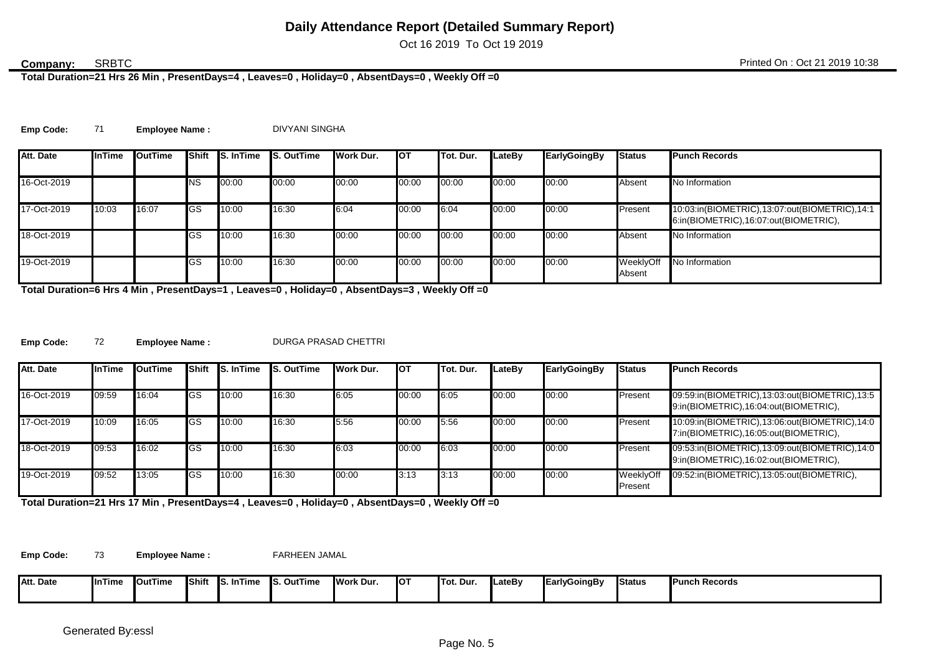Oct 16 2019 To Oct 19 2019

### **SRBTC**

**Total Duration=21 Hrs 26 Min , PresentDays=4 , Leaves=0 , Holiday=0 , AbsentDays=0 , Weekly Off =0**

| Emp Code: |  | <b>Employee Name:</b> | DIVYANI SINGHA |
|-----------|--|-----------------------|----------------|
|-----------|--|-----------------------|----------------|

| Att. Date   | <b>InTime</b> | <b>OutTime</b> |             | Shift S. In Time | <b>S. OutTime</b> | Work Dur. | <b>I</b> OT | Tot. Dur. | LateBv | EarlyGoingBy | <b>Status</b>       | <b>Punch Records</b>                                                                   |
|-------------|---------------|----------------|-------------|------------------|-------------------|-----------|-------------|-----------|--------|--------------|---------------------|----------------------------------------------------------------------------------------|
| 16-Oct-2019 |               |                | <b>NS</b>   | 00:00            | 00:00             | 00:00     | 00:00       | 00:00     | 00:00  | 00:00        | Absent              | No Information                                                                         |
| 17-Oct-2019 | 10:03         | 16:07          | <b>IGS</b>  | 10:00            | 16:30             | 6:04      | 00:00       | 6:04      | 00:00  | 00:00        | Present             | 10:03:in(BIOMETRIC),13:07:out(BIOMETRIC),14:1<br>6:in(BIOMETRIC),16:07:out(BIOMETRIC), |
| 18-Oct-2019 |               |                | <b>GS</b>   | 10:00            | 16:30             | 00:00     | 00:00       | 00:00     | 00:00  | 00:00        | Absent              | No Information                                                                         |
| 19-Oct-2019 |               |                | <b>I</b> GS | 10:00            | 16:30             | 00:00     | 00:00       | 00:00     | 00:00  | 00:00        | WeeklyOff<br>Absent | No Information                                                                         |

**Total Duration=6 Hrs 4 Min , PresentDays=1 , Leaves=0 , Holiday=0 , AbsentDays=3 , Weekly Off =0**

**Emp Code:** 72 **Employee Name :** DURGA PRASAD CHETTRI

| Att. Date   | <b>InTime</b> | OutTime | <b>Shift</b> | <b>S. In Time</b> | <b>S. OutTime</b> | <b>I</b> Work Dur. | Iот   | <b>ITot. Dur.</b> | LateBv | <b>EarlyGoingBy</b> | <b>Status</b>        | <b>Punch Records</b>                                                                   |
|-------------|---------------|---------|--------------|-------------------|-------------------|--------------------|-------|-------------------|--------|---------------------|----------------------|----------------------------------------------------------------------------------------|
| 16-Oct-2019 | 09:59         | 16:04   | <b>IGS</b>   | 10:00             | 16:30             | 6:05               | 00:00 | 6:05              | 00:00  | 00:00               | Present              | 09:59:in(BIOMETRIC),13:03:out(BIOMETRIC),13:5<br>9:in(BIOMETRIC),16:04:out(BIOMETRIC), |
| 17-Oct-2019 | 10:09         | 16:05   | lGS          | 10:00             | 16:30             | 5:56               | 00:00 | 5:56              | 00:00  | 00:00               | Present              | 10:09:in(BIOMETRIC),13:06:out(BIOMETRIC),14:0<br>7:in(BIOMETRIC),16:05:out(BIOMETRIC), |
| 18-Oct-2019 | 09:53         | 16:02   | <b>I</b> GS  | 10:00             | 16:30             | 6:03               | 00:00 | 6:03              | 00:00  | 00:00               | Present              | 09:53:in(BIOMETRIC),13:09:out(BIOMETRIC),14:0<br>9:in(BIOMETRIC),16:02:out(BIOMETRIC), |
| 19-Oct-2019 | 09:52         | 13:05   | <b>I</b> GS  | 10:00             | 16:30             | 00:00              | 3:13  | 3:13              | 00:00  | 00:00               | WeeklyOff<br>Present | 09:52:in(BIOMETRIC),13:05:out(BIOMETRIC),                                              |

**Total Duration=21 Hrs 17 Min , PresentDays=4 , Leaves=0 , Holiday=0 , AbsentDays=0 , Weekly Off =0**

**Emp Code:** 73 **Employee Name :** FARHEEN JAMAL

| Δtt<br>Att. Date | <b>I</b> InTime | <b>OutTime</b> | <b>Shift</b> | ∵∽⊤ime<br>- Ic | ∽<br>. OutTime . | <b>I</b> Work Dur. | <b>IOT</b> | lTot. Dur | <b>LateB</b> | <b>IEarly</b><br>∣vGoinaBv | Status | <b>Punch Records</b> |
|------------------|-----------------|----------------|--------------|----------------|------------------|--------------------|------------|-----------|--------------|----------------------------|--------|----------------------|
|                  |                 |                |              | 10.,           | .                |                    |            |           |              |                            |        |                      |
|                  |                 |                |              |                |                  |                    |            |           |              |                            |        |                      |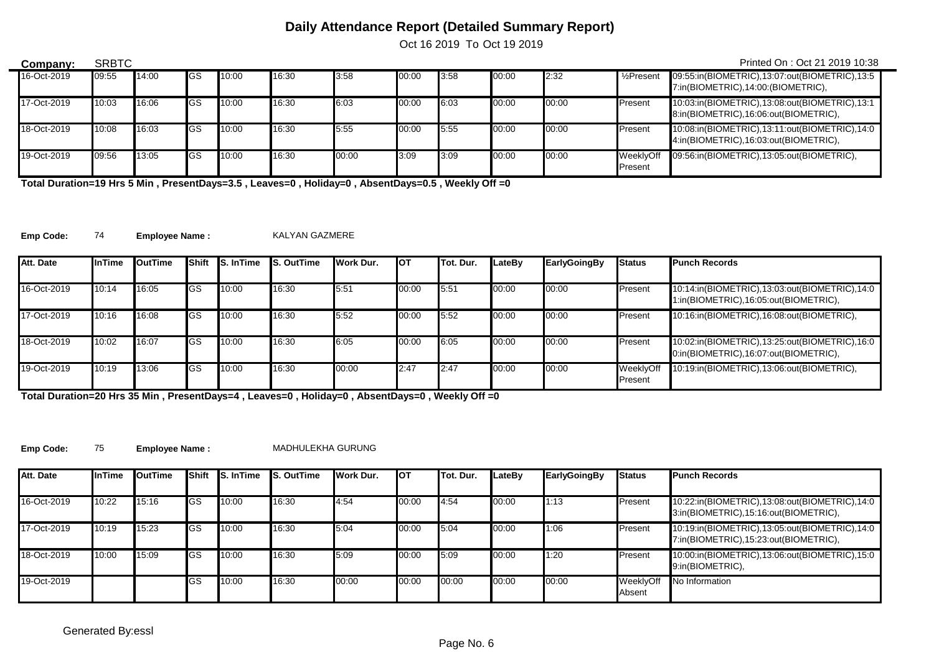Oct 16 2019 To Oct 19 2019

| Company:    | <b>SRBTC</b> |       |             |       |       |       |       |      |       |       |                         | Printed On: Oct 21 2019 10:38                                                          |
|-------------|--------------|-------|-------------|-------|-------|-------|-------|------|-------|-------|-------------------------|----------------------------------------------------------------------------------------|
| 16-Oct-2019 | 09:55        | 14:00 | lGS         | 10:00 | 16:30 | 3:58  | 00:00 | 3:58 | 00:00 | 2:32  | 1/ <sub>2</sub> Present | 09:55:in(BIOMETRIC),13:07:out(BIOMETRIC),13:5<br>7:in(BIOMETRIC),14:00:(BIOMETRIC),    |
| 17-Oct-2019 | 10:03        | 16:06 | <b>I</b> GS | 10:00 | 16:30 | 6:03  | 00:00 | 6:03 | 00:00 | 00:00 | Present                 | 10:03:in(BIOMETRIC),13:08:out(BIOMETRIC),13:1<br>8:in(BIOMETRIC),16:06:out(BIOMETRIC), |
| 18-Oct-2019 | 10:08        | 16:03 | <b>I</b> GS | 10:00 | 16:30 | 5:55  | 00:00 | 5:55 | 00:00 | 00:00 | Present                 | 10:08:in(BIOMETRIC),13:11:out(BIOMETRIC),14:0<br>4:in(BIOMETRIC),16:03:out(BIOMETRIC), |
| 19-Oct-2019 | 09:56        | 13:05 | lGS         | 10:00 | 16:30 | 00:00 | 3:09  | 3:09 | 00:00 | 00:00 | WeeklvOff<br>Present    | 09:56:in(BIOMETRIC),13:05:out(BIOMETRIC),                                              |

**Total Duration=19 Hrs 5 Min , PresentDays=3.5 , Leaves=0 , Holiday=0 , AbsentDays=0.5 , Weekly Off =0**

**Emp Code:** 74 **Employee Name :** KALYAN GAZMERE

| Att. Date   | <b>InTime</b> | <b>I</b> OutTime |           | <b>Shift IS. In Time</b> | <b>S. OutTime</b> | Work Dur. | <b>I</b> OT | Tot. Dur. | LateBv | EarlyGoingBy | <b>Status</b>        | <b>Punch Records</b>                                                                   |
|-------------|---------------|------------------|-----------|--------------------------|-------------------|-----------|-------------|-----------|--------|--------------|----------------------|----------------------------------------------------------------------------------------|
|             |               |                  |           |                          |                   |           |             |           |        |              |                      |                                                                                        |
| 16-Oct-2019 | 10:14         | 16:05            | <b>GS</b> | 10:00                    | 16:30             | 5.51      | 00:00       | 5:51      | 00:00  | 00:00        | Present              | 10:14:in(BIOMETRIC),13:03:out(BIOMETRIC),14:0<br>1:in(BIOMETRIC),16:05:out(BIOMETRIC), |
| 17-Oct-2019 | 10:16         | 16:08            | IGS       | 10:00                    | 16:30             | 5:52      | 00:00       | 5:52      | 00:00  | 00:00        | Present              | 10:16:in(BIOMETRIC),16:08:out(BIOMETRIC),                                              |
| 18-Oct-2019 | 10:02         | 16:07            | IGS       | 10:00                    | 16:30             | 6:05      | 00:00       | 6:05      | 00:00  | 00:00        | Present              | 10:02:in(BIOMETRIC),13:25:out(BIOMETRIC),16:0<br>0:in(BIOMETRIC),16:07:out(BIOMETRIC), |
| 19-Oct-2019 | 10:19         | 13:06            | IGS       | 10:00                    | 16:30             | 00:00     | 2:47        | 2:47      | 00:00  | 00:00        | WeeklyOff<br>Present | 10:19:in(BIOMETRIC),13:06:out(BIOMETRIC),                                              |

**Total Duration=20 Hrs 35 Min , PresentDays=4 , Leaves=0 , Holiday=0 , AbsentDays=0 , Weekly Off =0**

**Emp Code:** 75 **Employee Name :** MADHULEKHA GURUNG

| Att. Date   | <b>InTime</b> | <b>I</b> OutTime | Shift       | <b>S.</b> InTime | <b>S. OutTime</b> | Work Dur. | <b>I</b> OT | Tot. Dur. | LateBv | <b>EarlyGoingBy</b> | <b>Status</b>       | <b>Punch Records</b>                                                                   |
|-------------|---------------|------------------|-------------|------------------|-------------------|-----------|-------------|-----------|--------|---------------------|---------------------|----------------------------------------------------------------------------------------|
| 16-Oct-2019 | 10:22         | 15:16            | <b>I</b> GS | 10:00            | 16:30             | 4:54      | 00:00       | 4:54      | 00:00  | 1:13                | Present             | 10:22:in(BIOMETRIC),13:08:out(BIOMETRIC),14:0<br>3:in(BIOMETRIC),15:16:out(BIOMETRIC), |
| 17-Oct-2019 | 10:19         | 15:23            | <b>I</b> GS | 10:00            | 16:30             | 5:04      | 00:00       | 5:04      | 00:00  | 1:06                | Present             | 10:19:in(BIOMETRIC),13:05:out(BIOMETRIC),14:0<br>7:in(BIOMETRIC),15:23:out(BIOMETRIC), |
| 18-Oct-2019 | 10:00         | 15:09            | <b>I</b> GS | 10:00            | 16:30             | 5:09      | 00:00       | 5:09      | 00:00  | 1:20                | Present             | 10:00:in(BIOMETRIC),13:06:out(BIOMETRIC),15:0<br>9:in(BIOMETRIC),                      |
| 19-Oct-2019 |               |                  | lGS         | 10:00            | 16:30             | 00:00     | 00:00       | 00:00     | 00:00  | 00:00               | WeeklyOff<br>Absent | No Information                                                                         |

 $\overline{\phantom{0}}$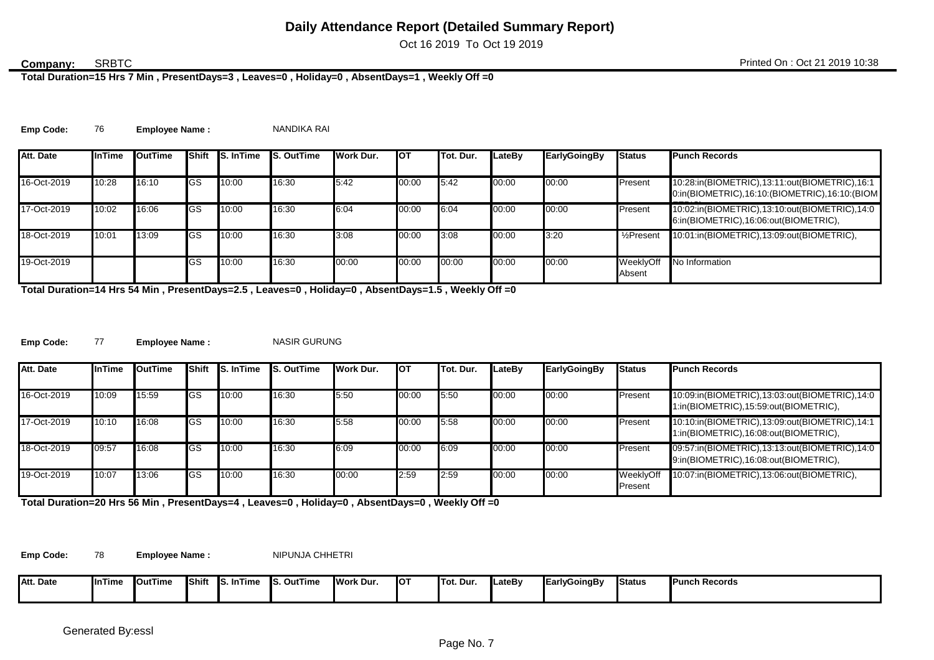Oct 16 2019 To Oct 19 2019

### **SRBTC**

**Total Duration=15 Hrs 7 Min , PresentDays=3 , Leaves=0 , Holiday=0 , AbsentDays=1 , Weekly Off =0**

Emp Code: 76 Employee Name : NANDIKA RAI

| Att. Date   | <b>InTime</b> | <b>OutTime</b> | <b>Shift</b> | <b>S. In Time</b> | <b>IS. OutTime</b> | Work Dur. | <b>I</b> OT | Tot. Dur. | LateBv | <b>EarlyGoingBy</b> | <b>Status</b>           | <b>Punch Records</b>                                                                            |
|-------------|---------------|----------------|--------------|-------------------|--------------------|-----------|-------------|-----------|--------|---------------------|-------------------------|-------------------------------------------------------------------------------------------------|
| 16-Oct-2019 | 10:28         | 16:10          | <b>GS</b>    | 10:00             | 16:30              | 5:42      | 00:00       | 5.42      | 00:00  | 00:00               | Present                 | 10:28:in(BIOMETRIC),13:11:out(BIOMETRIC),16:1<br>0:in(BIOMETRIC),16:10:(BIOMETRIC),16:10:(BIOM) |
| 17-Oct-2019 | 10:02         | 16:06          | <b>GS</b>    | 10:00             | 16:30              | 6:04      | 00:00       | 6:04      | 00:00  | 00:00               | Present                 | 10:02:in(BIOMETRIC),13:10:out(BIOMETRIC),14:0<br>6:in(BIOMETRIC),16:06:out(BIOMETRIC),          |
| 18-Oct-2019 | 10:01         | 13:09          | <b>GS</b>    | 10:00             | 16:30              | 3:08      | 00:00       | 3:08      | 00:00  | 3:20                | 1/ <sub>2</sub> Present | 10:01:in(BIOMETRIC),13:09:out(BIOMETRIC),                                                       |
| 19-Oct-2019 |               |                | IGS.         | 10:00             | 16:30              | 00:00     | 00:00       | 00:00     | 00:00  | 00:00               | WeeklvOff<br>Absent     | No Information                                                                                  |

**Total Duration=14 Hrs 54 Min , PresentDays=2.5 , Leaves=0 , Holiday=0 , AbsentDays=1.5 , Weekly Off =0**

Emp Code: 77 **Employee Name :** NASIR GURUNG

| Att. Date   | <b>I</b> InTime | OutTime |             | <b>Shift IS. In Time</b> | <b>S. OutTime</b> | Work Dur. | <b>I</b> OT | <b>ITot. Dur.</b> | LateBv | <b>EarlyGoingBy</b> | <b>Status</b>        | <b>Punch Records</b>                                                                   |
|-------------|-----------------|---------|-------------|--------------------------|-------------------|-----------|-------------|-------------------|--------|---------------------|----------------------|----------------------------------------------------------------------------------------|
| 16-Oct-2019 | 10:09           | 15:59   | <b>I</b> GS | 10:00                    | 16:30             | 5:50      | 00:00       | 5:50              | 00:00  | 00:00               | Present              | 10:09:in(BIOMETRIC),13:03:out(BIOMETRIC),14:0<br>1:in(BIOMETRIC),15:59:out(BIOMETRIC), |
| 17-Oct-2019 | 10:10           | 16:08   | lGS         | 10:00                    | 16:30             | 5.58      | 00:00       | 5:58              | 00:00  | 00:00               | Present              | 10:10:in(BIOMETRIC),13:09:out(BIOMETRIC),14:1<br>1:in(BIOMETRIC),16:08:out(BIOMETRIC), |
| 18-Oct-2019 | 09:57           | 16:08   | <b>I</b> GS | 10:00                    | 16:30             | 6:09      | 00:00       | 6:09              | 00:00  | 00:00               | Present              | 09:57:in(BIOMETRIC),13:13:out(BIOMETRIC),14:0<br>9:in(BIOMETRIC),16:08:out(BIOMETRIC), |
| 19-Oct-2019 | 10:07           | 13:06   | <b>I</b> GS | 10:00                    | 16:30             | 00:00     | 2:59        | 2:59              | 00:00  | 00:00               | WeeklyOff<br>Present | 10:07:in(BIOMETRIC),13:06:out(BIOMETRIC),                                              |

**Total Duration=20 Hrs 56 Min , PresentDays=4 , Leaves=0 , Holiday=0 , AbsentDays=0 , Weekly Off =0**

Emp Code: 78 Employee Name : NIPUNJA CHHETRI

| Δtt<br><b>Att. Date</b> | ∎InTime | <b>I</b> OutTime | <b>IShift</b> | <b>InTime</b><br>- Ic<br>. . | . .<br>. OutTime<br>. . | Work Dur. | IO1 | <b>ITot. Dur.</b> | <b>LateBv</b> | ∥EarlyGoingBy | <b>Status</b> | <b>IPunch Records</b> |
|-------------------------|---------|------------------|---------------|------------------------------|-------------------------|-----------|-----|-------------------|---------------|---------------|---------------|-----------------------|
|                         |         |                  |               |                              |                         |           |     |                   |               |               |               |                       |
|                         |         |                  |               |                              |                         |           |     |                   |               |               |               |                       |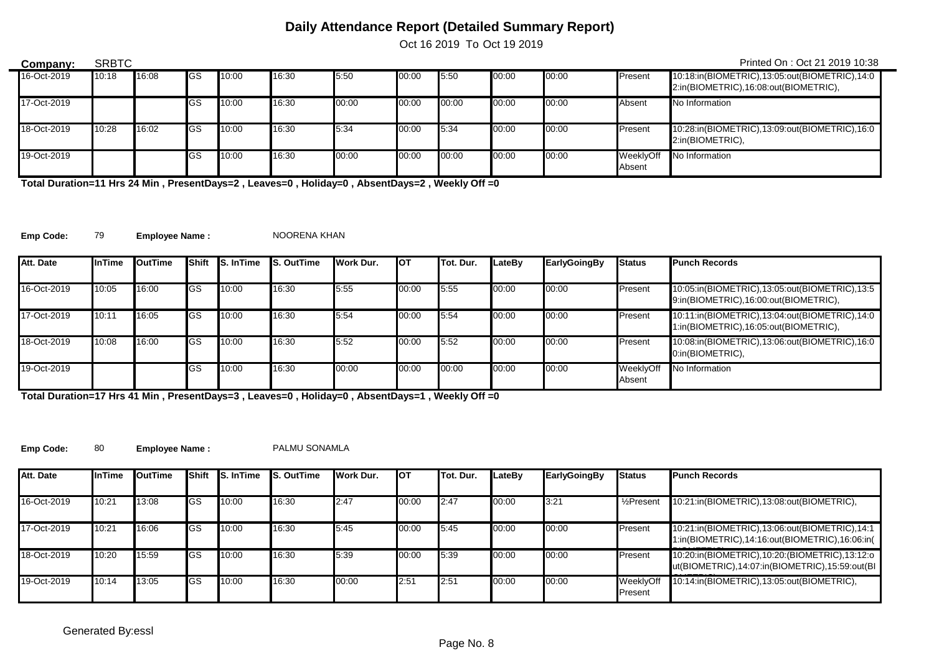Oct 16 2019 To Oct 19 2019

| Company:    | <b>SRBTC</b> |       |             |       |       |       |       |       |       |       |                     | Printed On: Oct 21 2019 10:38                                                          |
|-------------|--------------|-------|-------------|-------|-------|-------|-------|-------|-------|-------|---------------------|----------------------------------------------------------------------------------------|
| 16-Oct-2019 | 10:18        | 16:08 | <b>IGS</b>  | 10:00 | 16:30 | 5:50  | 00:00 | 5:50  | 00:00 | 00:00 | Present             | 10:18:in(BIOMETRIC),13:05:out(BIOMETRIC),14:0<br>2:in(BIOMETRIC),16:08:out(BIOMETRIC), |
| 17-Oct-2019 |              |       | <b>I</b> GS | 10:00 | 16:30 | 00:00 | 00:00 | 00:00 | 00:00 | 00:00 | Absent              | No Information                                                                         |
| 18-Oct-2019 | 10:28        | 16:02 | <b>I</b> GS | 10:00 | 16:30 | 5:34  | 00:00 | 5:34  | 00:00 | 00:00 | Present             | 10:28:in(BIOMETRIC),13:09:out(BIOMETRIC),16:0<br>2:in(BIOMETRIC).                      |
| 19-Oct-2019 |              |       | <b>IGS</b>  | 10:00 | 16:30 | 00:00 | 00:00 | 00:00 | 00:00 | 00:00 | WeeklyOff<br>Absent | No Information                                                                         |

**Total Duration=11 Hrs 24 Min , PresentDays=2 , Leaves=0 , Holiday=0 , AbsentDays=2 , Weekly Off =0**

**Emp Code:** 79 **Employee Name :** NOORENA KHAN

 $\blacksquare$ 

| Att. Date   | <b>InTime</b> | <b>I</b> OutTime | Shift      | <b>S. In Time</b> | <b>S. OutTime</b> | Work Dur. | <b>I</b> OT | <b>ITot. Dur.</b> | LateBv | EarlyGoingBy | <b>Status</b>       | <b>Punch Records</b>                                                                   |
|-------------|---------------|------------------|------------|-------------------|-------------------|-----------|-------------|-------------------|--------|--------------|---------------------|----------------------------------------------------------------------------------------|
| 16-Oct-2019 | 10:05         | 16:00            | IGS        | 10:00             | 16:30             | 5:55      | 00:00       | 5.55              | 00:00  | 00:00        | Present             | 10:05:in(BIOMETRIC),13:05:out(BIOMETRIC),13:5<br>9:in(BIOMETRIC),16:00:out(BIOMETRIC), |
| 17-Oct-2019 | 10:11         | 16:05            | <b>IGS</b> | 10:00             | 16:30             | 5.54      | 00:00       | 5:54              | 00:00  | 00:00        | Present             | 10:11:in(BIOMETRIC),13:04:out(BIOMETRIC),14:0<br>1:in(BIOMETRIC),16:05:out(BIOMETRIC), |
| 18-Oct-2019 | 10:08         | 16:00            | <b>IGS</b> | 10:00             | 16:30             | 5:52      | 00:00       | 5:52              | 00:00  | 00:00        | Present             | 10:08:in(BIOMETRIC),13:06:out(BIOMETRIC),16:0<br>0:in(BIOMETRIC),                      |
| 19-Oct-2019 |               |                  | lGS        | 10:00             | 16:30             | 00:00     | 00:00       | 00:00             | 00:00  | 00:00        | WeeklyOff<br>Absent | No Information                                                                         |

**Total Duration=17 Hrs 41 Min , PresentDays=3 , Leaves=0 , Holiday=0 , AbsentDays=1 , Weekly Off =0**

Emp Code: 80 **Employee Name :** PALMU SONAMLA

| Att. Date   | <b>InTime</b> | OutTime | Shift      | <b>S. In Time</b> | <b>S. OutTime</b> | Work Dur. | <b>I</b> OT | Tot. Dur. | LateBv | <b>EarlyGoingBy</b> | <b>Status</b>                | <b>Punch Records</b>                                                                               |
|-------------|---------------|---------|------------|-------------------|-------------------|-----------|-------------|-----------|--------|---------------------|------------------------------|----------------------------------------------------------------------------------------------------|
| 16-Oct-2019 | 10:21         | 13:08   | <b>IGS</b> | 10:00             | 16:30             | 2:47      | 00:00       | 2:47      | 00:00  | 3:21                | $\frac{1}{2}$ Present        | 10:21:in(BIOMETRIC),13:08:out(BIOMETRIC),                                                          |
| 17-Oct-2019 | 10:21         | 16:06   | <b>IGS</b> | 10:00             | 16:30             | 5:45      | 00:00       | 5:45      | 00:00  | 00:00               | <b>Present</b>               | 10:21:in(BIOMETRIC),13:06:out(BIOMETRIC),14:1<br>1:in(BIOMETRIC),14:16:out(BIOMETRIC),16:06:in(    |
| 18-Oct-2019 | 10:20         | 15:59   | <b>IGS</b> | 10:00             | 16:30             | 5:39      | 00:00       | 5:39      | 00:00  | 00:00               | Present                      | 10:20:in(BIOMETRIC), 10:20: (BIOMETRIC), 13:12:0<br>ut(BIOMETRIC),14:07:in(BIOMETRIC),15:59:out(BI |
| 19-Oct-2019 | 10:14         | 13:05   | <b>IGS</b> | 10:00             | 16:30             | 00:00     | 2:51        | 2:51      | 00:00  | 00:00               | WeeklyOff<br><b>IPresent</b> | 10:14:in(BIOMETRIC),13:05:out(BIOMETRIC),                                                          |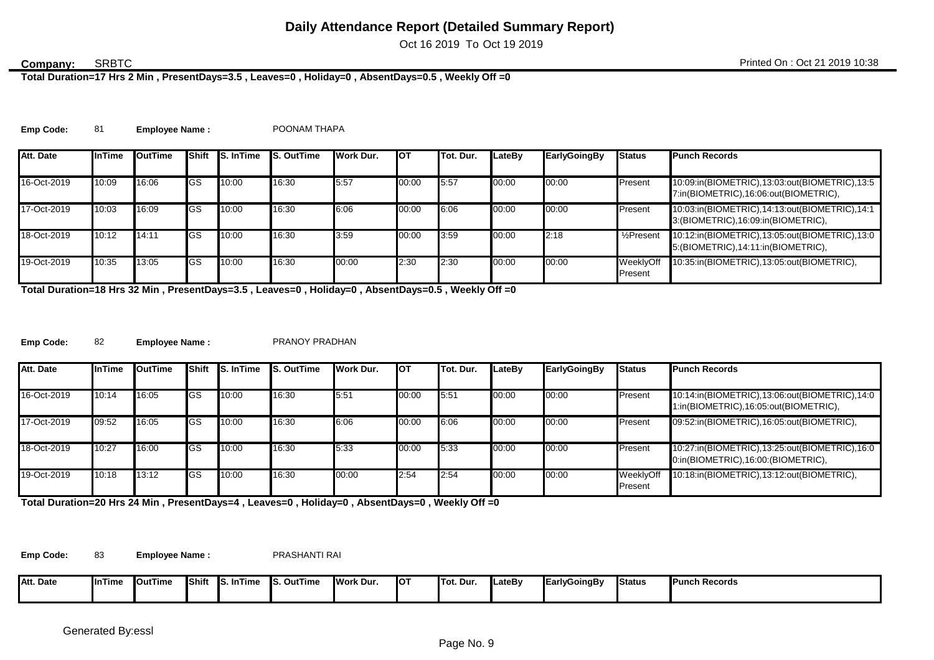Oct 16 2019 To Oct 19 2019

#### SRBTC

**Total Duration=17 Hrs 2 Min , PresentDays=3.5 , Leaves=0 , Holiday=0 , AbsentDays=0.5 , Weekly Off =0**

| <b>Emp Code:</b> |  | <b>Employee Name:</b> | POONAM THAPA |
|------------------|--|-----------------------|--------------|
|------------------|--|-----------------------|--------------|

| Att. Date   | <b>InTime</b> | <b>I</b> OutTime |    | Shift <b>S. In Time</b> | <b>S. OutTime</b> | Work Dur. | <b>I</b> OT | Tot. Dur. | LateBv | EarlyGoingBy | <b>Status</b>           | <b>Punch Records</b>                                                                    |
|-------------|---------------|------------------|----|-------------------------|-------------------|-----------|-------------|-----------|--------|--------------|-------------------------|-----------------------------------------------------------------------------------------|
| 16-Oct-2019 | 10:09         | 16:06            | GS | 10:00                   | 16:30             | 5:57      | 00:00       | 15.57     | 00:00  | 00:00        | Present                 | 10:09:in(BIOMETRIC),13:03:out(BIOMETRIC),13:5<br>7:in(BIOMETRIC),16:06:out(BIOMETRIC),  |
| 17-Oct-2019 | 10:03         | 16:09            | GS | 10:00                   | 16:30             | 6:06      | 00:00       | 6:06      | 00:00  | 00:00        | Present                 | 10:03:in(BIOMETRIC),14:13:out(BIOMETRIC),14:1<br>3: (BIOMETRIC), 16:09: in (BIOMETRIC), |
| 18-Oct-2019 | 10:12         | 14:11            | GS | 10:00                   | 16:30             | 3:59      | 00:00       | 3:59      | 00:00  | 2:18         | 1/ <sub>2</sub> Present | 10:12:in(BIOMETRIC),13:05:out(BIOMETRIC),13:0<br>5: (BIOMETRIC), 14:11: in (BIOMETRIC), |
| 19-Oct-2019 | 10:35         | 13:05            | GS | 10:00                   | 16:30             | 00:00     | 2:30        | 2:30      | 00:00  | 00:00        | WeeklyOff<br>Present    | 10:35:in(BIOMETRIC),13:05:out(BIOMETRIC),                                               |

**Total Duration=18 Hrs 32 Min , PresentDays=3.5 , Leaves=0 , Holiday=0 , AbsentDays=0.5 , Weekly Off =0**

**Emp Code:** 82 **Employee Name :** PRANOY PRADHAN

| Att. Date   | <b>InTime</b> | <b>I</b> OutTime | <b>Shift</b> | <b>S.</b> InTime | <b>S. OutTime</b> | Work Dur. | Іот   | Tot. Dur. | LateBv | <b>EarlyGoingBy</b> | <b>Status</b>        | <b>Punch Records</b>                                                                   |
|-------------|---------------|------------------|--------------|------------------|-------------------|-----------|-------|-----------|--------|---------------------|----------------------|----------------------------------------------------------------------------------------|
| 16-Oct-2019 | 10:14         | 16:05            | <b>I</b> GS  | 10:00            | 16:30             | 5:51      | 00:00 | 15:51     | 00:00  | 00:00               | Present              | 10:14:in(BIOMETRIC),13:06:out(BIOMETRIC),14:0<br>1:in(BIOMETRIC),16:05:out(BIOMETRIC), |
| 17-Oct-2019 | 09:52         | 16:05            | <b>I</b> GS  | 10:00            | 16:30             | 6:06      | 00:00 | 6:06      | 00:00  | 00:00               | Present              | 09:52:in(BIOMETRIC),16:05:out(BIOMETRIC),                                              |
| 18-Oct-2019 | 10:27         | 16:00            | <b>I</b> GS  | 10:00            | 16:30             | 5:33      | 00:00 | 5:33      | 00:00  | 00:00               | Present              | 10:27:in(BIOMETRIC),13:25:out(BIOMETRIC),16:0<br>0:in(BIOMETRIC),16:00:(BIOMETRIC),    |
| 19-Oct-2019 | 10:18         | 13:12            | <b>I</b> GS  | 10:00            | 16:30             | 00:00     | 2:54  | 2.54      | 00:00  | 00:00               | WeeklyOff<br>Present | 10:18:in(BIOMETRIC),13:12:out(BIOMETRIC),                                              |

**Total Duration=20 Hrs 24 Min , PresentDays=4 , Leaves=0 , Holiday=0 , AbsentDays=0 , Weekly Off =0**

Emp Code: 83 **Employee Name :** PRASHANTI RAI

| Att. Date<br>the contract of the contract of the contract of | ∣nTime | <b>OutTime</b> | <b>IShift</b> | . InTime<br>$\mathbf{r}$<br>. . | i. OutTime<br>Ic<br>IJ. | Work Dur. | IO1 | Tot. Dur | lLateBv | <b>EarlyGoingBy</b> | <b>Status</b> | <b>Punch Records</b> |
|--------------------------------------------------------------|--------|----------------|---------------|---------------------------------|-------------------------|-----------|-----|----------|---------|---------------------|---------------|----------------------|
|                                                              |        |                |               |                                 |                         |           |     |          |         |                     |               |                      |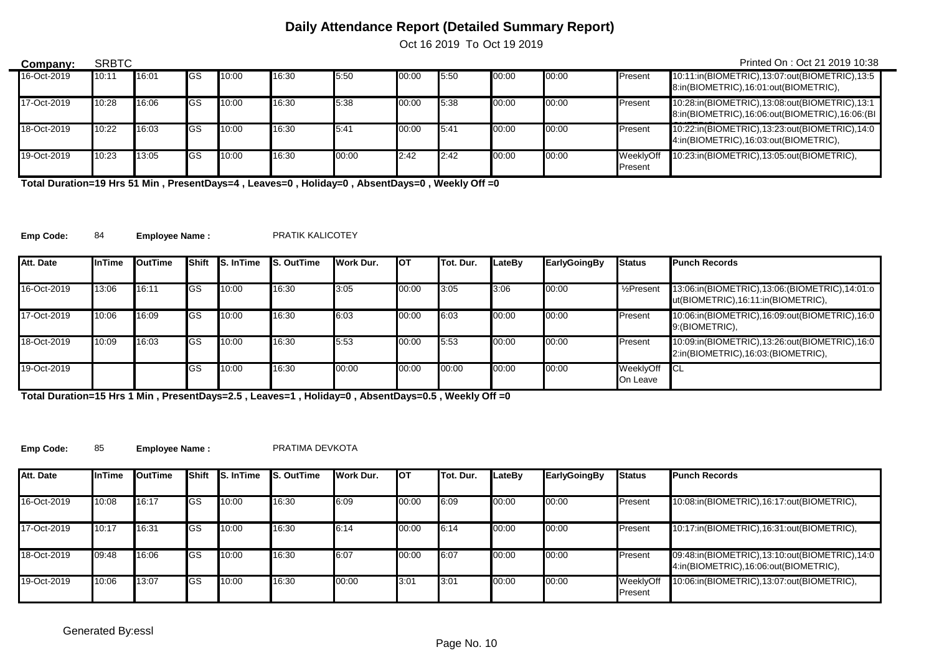Oct 16 2019 To Oct 19 2019

| Company:    | <b>SRBTC</b> |       |             |       |       |       |       |      |       |       |                      | Printed On: Oct 21 2019 10:38                                                                   |
|-------------|--------------|-------|-------------|-------|-------|-------|-------|------|-------|-------|----------------------|-------------------------------------------------------------------------------------------------|
| 16-Oct-2019 | 10:11        | 16:01 | <b>I</b> GS | 10:00 | 16:30 | 5:50  | 00:00 | 5:50 | 00:00 | 00:00 | Present              | 10:11:in(BIOMETRIC),13:07:out(BIOMETRIC),13:5<br>8:in(BIOMETRIC),16:01:out(BIOMETRIC),          |
| 17-Oct-2019 | 10:28        | 16:06 | lGS         | 10:00 | 16:30 | 5:38  | 00:00 | 5:38 | 00:00 | 00:00 | Present              | 10:28:in(BIOMETRIC),13:08:out(BIOMETRIC),13:1<br>8:in(BIOMETRIC),16:06:out(BIOMETRIC),16:06:(BI |
| 18-Oct-2019 | 10:22        | 16:03 | <b>I</b> GS | 10:00 | 16:30 | 5:41  | 00:00 | 5:41 | 00:00 | 00:00 | Present              | 10:22:in(BIOMETRIC),13:23:out(BIOMETRIC),14:0<br>4:in(BIOMETRIC),16:03:out(BIOMETRIC),          |
| 19-Oct-2019 | 10:23        | 13:05 | <b>I</b> GS | 10:00 | 16:30 | 00:00 | 2:42  | 2:42 | 00:00 | 00:00 | WeeklyOff<br>Present | 10:23:in(BIOMETRIC),13:05:out(BIOMETRIC),                                                       |

**Total Duration=19 Hrs 51 Min , PresentDays=4 , Leaves=0 , Holiday=0 , AbsentDays=0 , Weekly Off =0**

Emp Code: 84 **Employee Name :** PRATIK KALICOTEY

 $\overline{\phantom{0}}$ 

| Att. Date   | InTime | <b>I</b> OutTime |             | <b>Shift IS. In Time</b> | <b>S. OutTime</b> | Work Dur. | <b>I</b> OT | Tot. Dur. | LateBv | EarlyGoingBy | <b>Status</b>            | <b>Punch Records</b>                                                                 |
|-------------|--------|------------------|-------------|--------------------------|-------------------|-----------|-------------|-----------|--------|--------------|--------------------------|--------------------------------------------------------------------------------------|
|             |        |                  |             |                          |                   |           |             |           |        |              |                          |                                                                                      |
| 16-Oct-2019 | 13:06  | 16:11            | <b>IGS</b>  | 10:00                    | 16:30             | 3:05      | 00:00       | 3:05      | 3:06   | 00:00        | $\frac{1}{2}$ Present    | 13:06:in(BIOMETRIC),13:06:(BIOMETRIC),14:01:0<br>ut(BIOMETRIC), 16:11:in(BIOMETRIC), |
| 17-Oct-2019 | 10:06  | 16:09            | <b>IGS</b>  | 10:00                    | 16:30             | 6:03      | 00:00       | 6:03      | 00:00  | 00:00        | Present                  | 10:06:in(BIOMETRIC), 16:09:out(BIOMETRIC), 16:0<br>9: (BIOMETRIC),                   |
| 18-Oct-2019 | 10:09  | 16:03            | <b>IGS</b>  | 10:00                    | 16:30             | 5:53      | 00:00       | 5.53      | 00:00  | 00:00        | Present                  | 10:09:in(BIOMETRIC),13:26:out(BIOMETRIC),16:0<br>2:in(BIOMETRIC),16:03:(BIOMETRIC),  |
| 19-Oct-2019 |        |                  | <b>I</b> GS | 10:00                    | 16:30             | 00:00     | 00:00       | 00:00     | 00:00  | 00:00        | WeeklyOff CL<br>On Leave |                                                                                      |

**Total Duration=15 Hrs 1 Min , PresentDays=2.5 , Leaves=1 , Holiday=0 , AbsentDays=0.5 , Weekly Off =0**

**Emp Code:** 85 **Employee Name :** PRATIMA DEVKOTA

| Att. Date   | <b>InTime</b> | OutTime | Shift      | <b>S. In Time</b> | <b>IS. OutTime</b> | Work Dur. | <b>I</b> OT | Tot. Dur. | LateBy | <b>EarlyGoingBy</b> | <b>Status</b>        | <b>Punch Records</b>                                                                   |
|-------------|---------------|---------|------------|-------------------|--------------------|-----------|-------------|-----------|--------|---------------------|----------------------|----------------------------------------------------------------------------------------|
| 16-Oct-2019 | 10:08         | 16:17   | <b>IGS</b> | 10:00             | 16:30              | 6:09      | 00:00       | 6:09      | 00:00  | 00:00               | <b>Present</b>       | 10:08:in(BIOMETRIC),16:17:out(BIOMETRIC),                                              |
| 17-Oct-2019 | 10:17         | 16:31   | GS         | 10:00             | 16:30              | 6:14      | 00:00       | 6:14      | 00:00  | 00:00               | <b>Present</b>       | 10:17:in(BIOMETRIC),16:31:out(BIOMETRIC),                                              |
| 18-Oct-2019 | 09:48         | 16:06   | <b>IGS</b> | 10:00             | 16:30              | 6:07      | 00:00       | 6:07      | 00:00  | 00:00               | Present              | 09:48:in(BIOMETRIC),13:10:out(BIOMETRIC),14:0<br>4:in(BIOMETRIC),16:06:out(BIOMETRIC), |
| 19-Oct-2019 | 10:06         | 13:07   | <b>IGS</b> | 10:00             | 16:30              | 00:00     | 3:01        | 3:01      | 00:00  | 00:00               | WeeklyOff<br>Present | 10:06:in(BIOMETRIC),13:07:out(BIOMETRIC),                                              |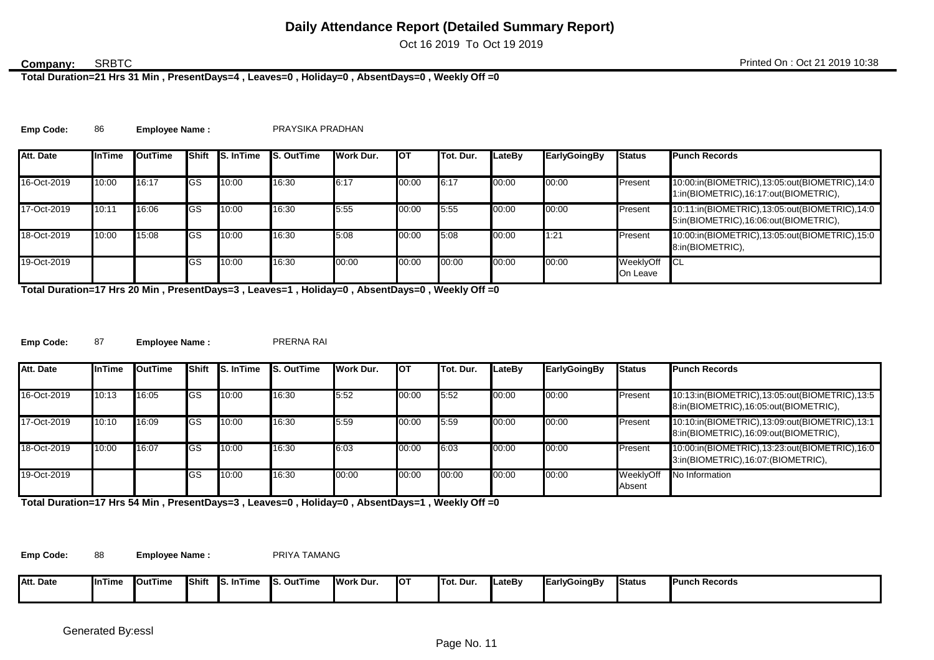Oct 16 2019 To Oct 19 2019

### SRBTC

**Total Duration=21 Hrs 31 Min , PresentDays=4 , Leaves=0 , Holiday=0 , AbsentDays=0 , Weekly Off =0**

| <b>Emp Code:</b> |  | <b>Employee Name:</b> | PRAYSIKA PRADHAN |
|------------------|--|-----------------------|------------------|
|------------------|--|-----------------------|------------------|

| Att. Date   | InTime | <b>I</b> OutTime |    | <b>Shift IS. In Time</b> | <b>S. OutTime</b> | Work Dur. | <b>I</b> OT | Tot. Dur. | LateBv | EarlyGoingBy | <b>Status</b>         | <b>Punch Records</b>                                                                   |
|-------------|--------|------------------|----|--------------------------|-------------------|-----------|-------------|-----------|--------|--------------|-----------------------|----------------------------------------------------------------------------------------|
| 16-Oct-2019 | 10:00  | 16:17            | GS | 10:00                    | 16:30             | 6:17      | 00:00       | 6:17      | 00:00  | 00:00        | Present               | 10:00:in(BIOMETRIC),13:05:out(BIOMETRIC),14:0<br>1:in(BIOMETRIC),16:17:out(BIOMETRIC), |
| 17-Oct-2019 | 10:11  | 16:06            | GS | 10:00                    | 16:30             | 5:55      | 00:00       | 5:55      | 00:00  | 00:00        | Present               | 10:11:in(BIOMETRIC),13:05:out(BIOMETRIC),14:0<br>5:in(BIOMETRIC),16:06:out(BIOMETRIC), |
| 18-Oct-2019 | 10:00  | 15:08            | GS | 10:00                    | 16:30             | 5:08      | 00:00       | 5:08      | 00:00  | 1:21         | Present               | 10:00:in(BIOMETRIC),13:05:out(BIOMETRIC),15:0<br>8:in(BIOMETRIC),                      |
| 19-Oct-2019 |        |                  | GS | 10:00                    | 16:30             | 00:00     | 00:00       | 00:00     | 00:00  | 00:00        | WeeklyOff<br>On Leave | <b>ICL</b>                                                                             |

**Total Duration=17 Hrs 20 Min , PresentDays=3 , Leaves=1 , Holiday=0 , AbsentDays=0 , Weekly Off =0**

**Emp Code:** 87 **Employee Name :** PRERNA RAI

| Att. Date   | <b>InTime</b> | <b>I</b> OutTime | Shift       | <b>S.</b> InTime | <b>S. OutTime</b> | Work Dur. | Іот   | Tot. Dur. | LateBv | <b>EarlyGoingBy</b> | <b>Status</b>       | <b>Punch Records</b>                                                                   |
|-------------|---------------|------------------|-------------|------------------|-------------------|-----------|-------|-----------|--------|---------------------|---------------------|----------------------------------------------------------------------------------------|
| 16-Oct-2019 | 10:13         | 16:05            | <b>I</b> GS | 10:00            | 16:30             | 5:52      | 00:00 | 5:52      | 00:00  | 00:00               | Present             | 10:13:in(BIOMETRIC),13:05:out(BIOMETRIC),13:5<br>8:in(BIOMETRIC),16:05:out(BIOMETRIC), |
| 17-Oct-2019 | 10:10         | 16:09            | <b>I</b> GS | 10:00            | 16:30             | 5:59      | 00:00 | 5:59      | 00:00  | 00:00               | Present             | 10:10:in(BIOMETRIC),13:09:out(BIOMETRIC),13:1<br>8:in(BIOMETRIC),16:09:out(BIOMETRIC), |
| 18-Oct-2019 | 10:00         | 16:07            | <b>I</b> GS | 10:00            | 16:30             | 6:03      | 00:00 | 6:03      | 00:00  | 00:00               | Present             | 10:00:in(BIOMETRIC),13:23:out(BIOMETRIC),16:0<br>3:in(BIOMETRIC),16:07:(BIOMETRIC),    |
| 19-Oct-2019 |               |                  | lGS         | 10:00            | 16:30             | 00:00     | 00:00 | 00:00     | 00:00  | 00:00               | WeeklyOff<br>Absent | No Information                                                                         |

**Total Duration=17 Hrs 54 Min , PresentDays=3 , Leaves=0 , Holiday=0 , AbsentDays=1 , Weekly Off =0**

Emp Code: 88 **Employee Name :** PRIYA TAMANG

| ۸+<br>Att. Date | <b>I</b> InTime | <b>OutTime</b> | <b>IShift</b> | . InTime<br>- Ic<br>w. | . OutTime<br>-- | <b>Work Dur.</b> | <b>IOT</b> | Tot. Dur. | <b>ILateBv</b> | <b>EarlyGoingBy</b> | <b>Status</b> | <b>Punch Records</b> |
|-----------------|-----------------|----------------|---------------|------------------------|-----------------|------------------|------------|-----------|----------------|---------------------|---------------|----------------------|
|                 |                 |                |               |                        |                 |                  |            |           |                |                     |               |                      |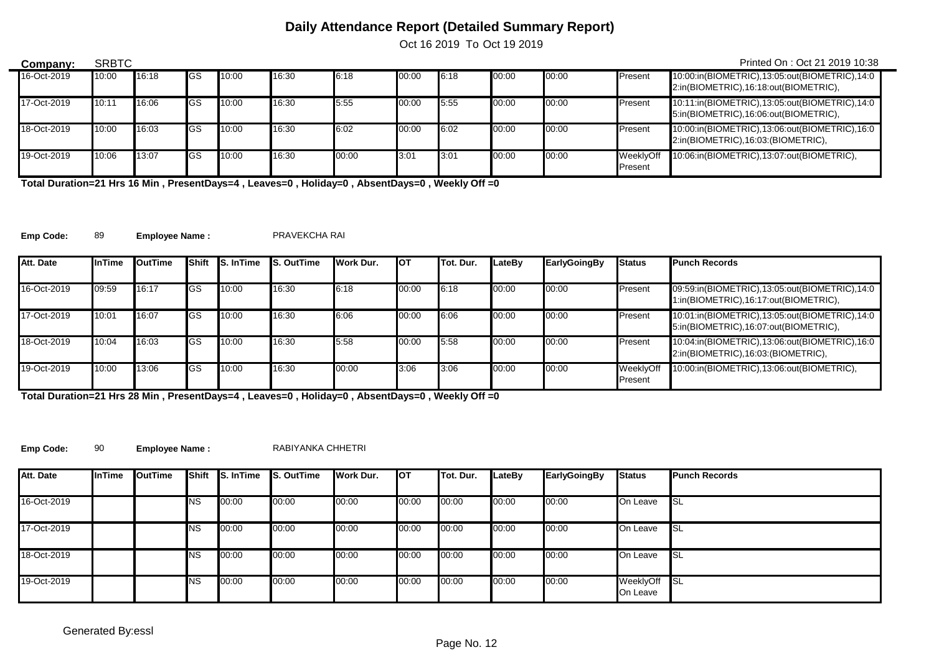Oct 16 2019 To Oct 19 2019

| Company:    | <b>SRBTC</b> |       |             |       |       |       |       |         |       |       |                      | Printed On: Oct 21 2019 10:38                                                          |
|-------------|--------------|-------|-------------|-------|-------|-------|-------|---------|-------|-------|----------------------|----------------------------------------------------------------------------------------|
| 16-Oct-2019 | 10:00        | 16:18 | lGS         | 10:00 | 16:30 | 6:18  | 00:00 | 6:18    | 00:00 | 00:00 | Present              | 10:00:in(BIOMETRIC),13:05:out(BIOMETRIC),14:0<br>2:in(BIOMETRIC),16:18:out(BIOMETRIC), |
| 17-Oct-2019 | 10:11        | 16:06 | <b>I</b> GS | 10:00 | 16:30 | 5:55  | 00:00 | 5:55    | 00:00 | 00:00 | Present              | 10:11:in(BIOMETRIC),13:05:out(BIOMETRIC),14:0<br>5:in(BIOMETRIC),16:06:out(BIOMETRIC), |
| 18-Oct-2019 | 10:00        | 16:03 | <b>I</b> GS | 10:00 | 16:30 | 6:02  | 00:00 | 6:02    | 00:00 | 00:00 | Present              | 10:00:in(BIOMETRIC),13:06:out(BIOMETRIC),16:0<br>2:in(BIOMETRIC),16:03:(BIOMETRIC),    |
| 19-Oct-2019 | 10:06        | 13:07 | <b>I</b> GS | 10:00 | 16:30 | 00:00 | 3:01  | $-3:01$ | 00:00 | 00:00 | WeeklvOff<br>Present | 10:06:in(BIOMETRIC),13:07:out(BIOMETRIC),                                              |

**Total Duration=21 Hrs 16 Min , PresentDays=4 , Leaves=0 , Holiday=0 , AbsentDays=0 , Weekly Off =0**

**Emp Code:** 89 **Employee Name :** PRAVEKCHA RAI

 $\overline{\phantom{0}}$ 

| Att. Date   | <b>InTime</b> | <b>I</b> OutTime | <b>Shift</b> | <b>IS.</b> InTime | <b>IS. OutTime</b> | Work Dur. | <b>I</b> OT | Tot. Dur. | LateBv | <b>EarlyGoingBy</b> | <b>Status</b>        | <b>Punch Records</b>                                                                   |
|-------------|---------------|------------------|--------------|-------------------|--------------------|-----------|-------------|-----------|--------|---------------------|----------------------|----------------------------------------------------------------------------------------|
|             |               |                  |              |                   |                    |           |             |           |        |                     |                      |                                                                                        |
| 16-Oct-2019 | 09:59         | 16:17            | <b>I</b> GS  | 10:00             | 16:30              | 6:18      | 00:00       | 6:18      | 00:00  | 00:00               | Present              | 09:59:in(BIOMETRIC),13:05:out(BIOMETRIC),14:0<br>1:in(BIOMETRIC),16:17:out(BIOMETRIC), |
| 17-Oct-2019 | 10:01         | 16:07            | <b>I</b> GS  | 10:00             | 16:30              | 6:06      | 00:00       | 6:06      | 00:00  | 00:00               | Present              | 10:01:in(BIOMETRIC),13:05:out(BIOMETRIC),14:0<br>5:in(BIOMETRIC),16:07:out(BIOMETRIC), |
| 18-Oct-2019 | 10:04         | 16:03            | <b>I</b> GS  | 10:00             | 16:30              | 5:58      | 00:00       | 5:58      | 00:00  | 00:00               | Present              | 10:04:in(BIOMETRIC),13:06:out(BIOMETRIC),16:0<br>2:in(BIOMETRIC),16:03:(BIOMETRIC),    |
| 19-Oct-2019 | 10:00         | 13:06            | <b>I</b> GS  | 10:00             | 16:30              | 00:00     | 3:06        | 3:06      | 00:00  | 00:00               | WeeklyOff<br>Present | 10:00:in(BIOMETRIC),13:06:out(BIOMETRIC),                                              |

**Total Duration=21 Hrs 28 Min , PresentDays=4 , Leaves=0 , Holiday=0 , AbsentDays=0 , Weekly Off =0**

**Emp Code:** 90 **Employee Name :** RABIYANKA CHHETRI

| Att. Date   | <b>InTime</b> | OutTime | Shift      | S. InTime | <b>S. OutTime</b> | Work Dur. | <b>I</b> OT | Tot. Dur. | LateBy | <b>EarlyGoingBy</b> | <b>Status</b>         | <b>Punch Records</b> |
|-------------|---------------|---------|------------|-----------|-------------------|-----------|-------------|-----------|--------|---------------------|-----------------------|----------------------|
| 16-Oct-2019 |               |         | <b>INS</b> | 00:00     | 00:00             | 00:00     | 00:00       | 00:00     | 00:00  | 00:00               | On Leave              | <b>I</b> SL          |
| 17-Oct-2019 |               |         | <b>INS</b> | 00:00     | 00:00             | 00:00     | 00:00       | 00:00     | 00:00  | 00:00               | On Leave              | <b>I</b> SL          |
| 18-Oct-2019 |               |         | <b>INS</b> | 00:00     | 00:00             | 00:00     | 00:00       | 00:00     | 00:00  | 00:00               | On Leave              | <b>I</b> SL          |
| 19-Oct-2019 |               |         | <b>INS</b> | 00:00     | 00:00             | 00:00     | 00:00       | 00:00     | 00:00  | 00:00               | WeeklyOff<br>On Leave | <b>I</b> SL          |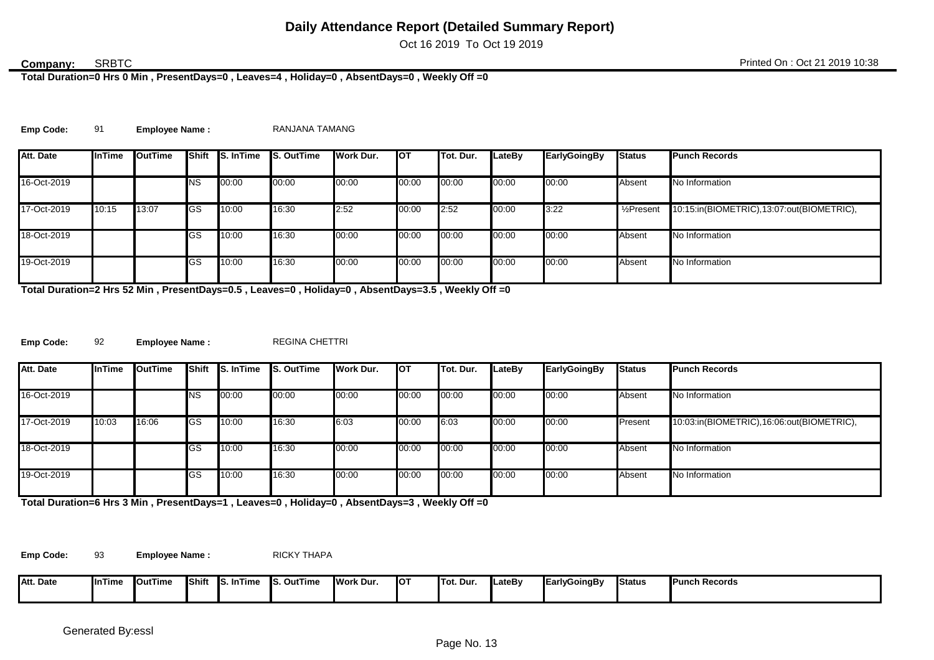Oct 16 2019 To Oct 19 2019

### **SRBTC**

**Total Duration=0 Hrs 0 Min , PresentDays=0 , Leaves=4 , Holiday=0 , AbsentDays=0 , Weekly Off =0**

|  | <b>Emp Code:</b> |  | <b>Employee Name:</b> | RANJANA TAMANG |
|--|------------------|--|-----------------------|----------------|
|--|------------------|--|-----------------------|----------------|

| Att. Date   | <b>InTime</b> | <b>I</b> OutTime |             | Shift S. In Time | <b>S. OutTime</b> | Work Dur. | <b>I</b> OT | <b>ITot. Dur.</b> | LateBy | <b>EarlyGoingBy</b> | <b>Status</b>           | <b>Punch Records</b>                      |
|-------------|---------------|------------------|-------------|------------------|-------------------|-----------|-------------|-------------------|--------|---------------------|-------------------------|-------------------------------------------|
|             |               |                  |             |                  |                   |           |             |                   |        |                     |                         |                                           |
| 16-Oct-2019 |               |                  | <b>I</b> NS | 00:00            | 00:00             | 00:00     | 00:00       | 00:00             | 00:00  | 00:00               | Absent                  | No Information                            |
| 17-Oct-2019 | 10:15         | 13:07            | <b>I</b> GS | 10:00            | 16:30             | 2:52      | 00:00       | 2:52              | 00:00  | 3:22                | 1/ <sub>2</sub> Present | 10:15:in(BIOMETRIC),13:07:out(BIOMETRIC), |
| 18-Oct-2019 |               |                  | GS          | 10:00            | 16:30             | 00:00     | 00:00       | 00:00             | 00:00  | 00:00               | Absent                  | No Information                            |
| 19-Oct-2019 |               |                  | GS          | 10:00            | 16:30             | 00:00     | 00:00       | 00:00             | 00:00  | 00:00               | Absent                  | No Information                            |

**Total Duration=2 Hrs 52 Min , PresentDays=0.5 , Leaves=0 , Holiday=0 , AbsentDays=3.5 , Weekly Off =0**

**Emp Code:** 92 **Employee Name :** REGINA CHETTRI

| Att. Date   | <b>InTime</b> | <b>I</b> OutTime | Shift       | $\overline{\mathsf{S}}$ . In Time | <b>S. OutTime</b> | <b>Work Dur.</b> | <b>I</b> OT | ITot. Dur. | LateBy | EarlyGoingBy | <b>Status</b> | <b>Punch Records</b>                      |
|-------------|---------------|------------------|-------------|-----------------------------------|-------------------|------------------|-------------|------------|--------|--------------|---------------|-------------------------------------------|
| 16-Oct-2019 |               |                  | <b>NS</b>   | 00:00                             | 00:00             | 00:00            | 00:00       | 00:00      | 00:00  | 00:00        | Absent        | No Information                            |
| 17-Oct-2019 | 10:03         | 16:06            | <b>I</b> GS | 10:00                             | 16:30             | 6:03             | 00:00       | 6:03       | 00:00  | 00:00        | Present       | 10:03:in(BIOMETRIC),16:06:out(BIOMETRIC), |
| 18-Oct-2019 |               |                  | GS          | 10:00                             | 16:30             | 00:00            | 00:00       | 00:00      | 00:00  | 00:00        | Absent        | No Information                            |
| 19-Oct-2019 |               |                  | GS          | 10:00                             | 16:30             | 00:00            | 00:00       | 00:00      | 00:00  | 00:00        | Absent        | No Information                            |

**Total Duration=6 Hrs 3 Min , PresentDays=1 , Leaves=0 , Holiday=0 , AbsentDays=3 , Weekly Off =0**

**Emp Code:** 93 **Employee Name :** RICKY THAPA

| Att. Date | nTime | <b>I</b> OutTime | <b>IShift</b> | . InTime<br>- Ic<br>w. | <b>S. OutTime</b> | <b>IWork Dur</b> | <b>IOT</b> | <b>ITot. Dur.</b> | <b>ILateBy</b> | EarlvGoingBv | <b>Status</b> | <b>IPunch Records</b> |
|-----------|-------|------------------|---------------|------------------------|-------------------|------------------|------------|-------------------|----------------|--------------|---------------|-----------------------|
|           |       |                  |               |                        |                   |                  |            |                   |                |              |               |                       |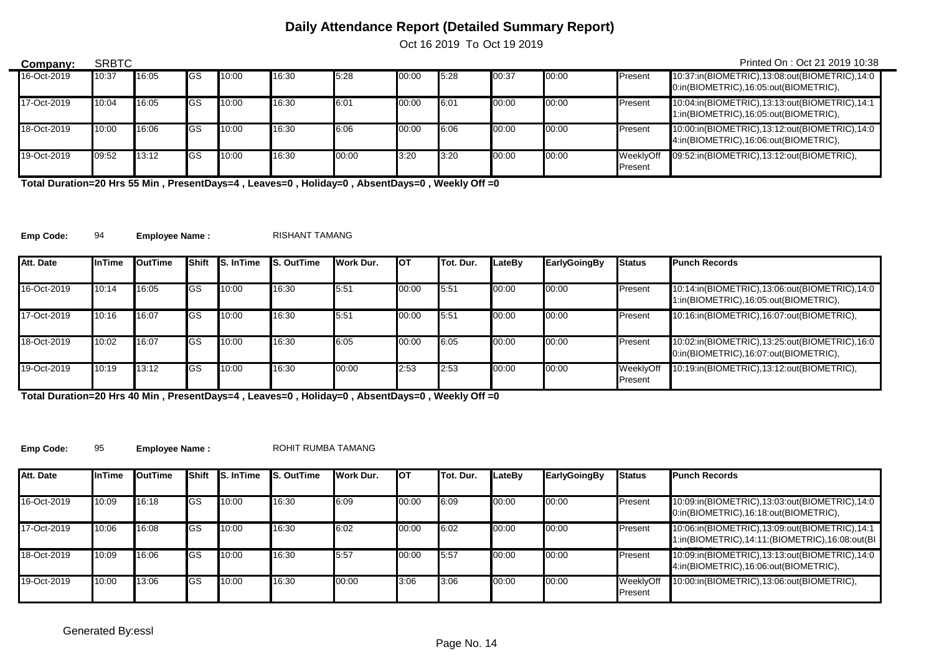Oct 16 2019 To Oct 19 2019

| Company:    | <b>SRBTC</b> |       |             |       |       |       |       |      |       |       |                      | Printed On: Oct 21 2019 10:38                                                          |
|-------------|--------------|-------|-------------|-------|-------|-------|-------|------|-------|-------|----------------------|----------------------------------------------------------------------------------------|
| 16-Oct-2019 | 10:37        | 16:05 | IGS         | 10:00 | 16:30 | 5:28  | 00:00 | 5:28 | 00:37 | 00:00 | Present              | 10:37:in(BIOMETRIC),13:08:out(BIOMETRIC),14:0<br>0:in(BIOMETRIC),16:05:out(BIOMETRIC), |
| 17-Oct-2019 | 10:04        | 16:05 | <b>I</b> GS | 10:00 | 16:30 | 6:01  | 00:00 | 6:01 | 00:00 | 00:00 | Present              | 10:04:in(BIOMETRIC),13:13:out(BIOMETRIC),14:1<br>1:in(BIOMETRIC),16:05:out(BIOMETRIC), |
| 18-Oct-2019 | 10:00        | 16:06 | <b>IGS</b>  | 10:00 | 16:30 | 6:06  | 00:00 | 6:06 | 00:00 | 00:00 | Present              | 10:00:in(BIOMETRIC),13:12:out(BIOMETRIC),14:0<br>4:in(BIOMETRIC),16:06:out(BIOMETRIC), |
| 19-Oct-2019 | 09:52        | 13:12 | lGS         | 10:00 | 16:30 | 00:00 | 3:20  | 3:20 | 00:00 | 00:00 | WeeklvOff<br>Present | 09:52:in(BIOMETRIC),13:12:out(BIOMETRIC),                                              |

**Total Duration=20 Hrs 55 Min , PresentDays=4 , Leaves=0 , Holiday=0 , AbsentDays=0 , Weekly Off =0**

**Emp Code:** 94 **Employee Name :** RISHANT TAMANG

 $\overline{\phantom{0}}$ 

| Att. Date   | <b>InTime</b> | <b>I</b> OutTime | <b>Shift</b> | <b>S.</b> InTime | <b>S. OutTime</b> | Work Dur. | <b>I</b> OT | <b>ITot. Dur.</b> | LateBv | EarlyGoingBy | <b>Status</b>        | <b>Punch Records</b>                                                                   |
|-------------|---------------|------------------|--------------|------------------|-------------------|-----------|-------------|-------------------|--------|--------------|----------------------|----------------------------------------------------------------------------------------|
|             |               |                  |              |                  |                   |           |             |                   |        |              |                      |                                                                                        |
| 16-Oct-2019 | 10:14         | 16:05            | <b>I</b> GS  | 10:00            | 16:30             | 5:51      | 00:00       | 5.51              | 00:00  | 00:00        | Present              | 10:14:in(BIOMETRIC),13:06:out(BIOMETRIC),14:0<br>1:in(BIOMETRIC),16:05:out(BIOMETRIC), |
| 17-Oct-2019 | 10:16         | 16:07            | <b>I</b> GS  | 10:00            | 16:30             | 5:51      | 00:00       | 5:51              | 00:00  | 00:00        | Present              | 10:16:in(BIOMETRIC),16:07:out(BIOMETRIC),                                              |
| 18-Oct-2019 | 10:02         | 16:07            | <b>I</b> GS  | 10:00            | 16:30             | 6:05      | 00:00       | 6:05              | 00:00  | 00:00        | Present              | 10:02:in(BIOMETRIC),13:25:out(BIOMETRIC),16:0<br>0:in(BIOMETRIC),16:07:out(BIOMETRIC), |
| 19-Oct-2019 | 10:19         | 13:12            | <b>I</b> GS  | 10:00            | 16:30             | 00:00     | 2:53        | 2:53              | 00:00  | 00:00        | WeeklyOff<br>Present | 10:19:in(BIOMETRIC),13:12:out(BIOMETRIC),                                              |

**Total Duration=20 Hrs 40 Min , PresentDays=4 , Leaves=0 , Holiday=0 , AbsentDays=0 , Weekly Off =0**

**Emp Code:** 95 Employee Name : ROHIT RUMBA TAMANG

| Att. Date   | <b>InTime</b> | <b>I</b> OutTime | <b>Shift</b> | <b>S.</b> InTime | <b>S. OutTime</b> | Work Dur. | <b>I</b> OT | Tot. Dur. | LateBv | <b>EarlyGoingBy</b> | <b>Status</b>        | <b>Punch Records</b>                                                                            |
|-------------|---------------|------------------|--------------|------------------|-------------------|-----------|-------------|-----------|--------|---------------------|----------------------|-------------------------------------------------------------------------------------------------|
| 16-Oct-2019 | 10:09         | 16:18            | <b>I</b> GS  | 10:00            | 16:30             | 6:09      | 00:00       | 6:09      | 00:00  | 00:00               | Present              | 10:09:in(BIOMETRIC),13:03:out(BIOMETRIC),14:0<br>0:in(BIOMETRIC),16:18:out(BIOMETRIC),          |
| 17-Oct-2019 | 10:06         | 16:08            | <b>I</b> GS  | 10:00            | 16:30             | 6:02      | 00:00       | 6:02      | 00:00  | 00:00               | Present              | 10:06:in(BIOMETRIC),13:09:out(BIOMETRIC),14:1<br>1:in(BIOMETRIC),14:11:(BIOMETRIC),16:08:out(BI |
| 18-Oct-2019 | 10:09         | 16:06            | <b>I</b> GS  | 10:00            | 16:30             | 5:57      | 00:00       | 5:57      | 00:00  | 00:00               | <b>Present</b>       | 10:09:in(BIOMETRIC),13:13:out(BIOMETRIC),14:0<br>4:in(BIOMETRIC),16:06:out(BIOMETRIC),          |
| 19-Oct-2019 | 10:00         | 13:06            | lGS          | 10:00            | 16:30             | 00:00     | 3:06        | 3:06      | 00:00  | 00:00               | WeeklyOff<br>Present | 10:00:in(BIOMETRIC),13:06:out(BIOMETRIC),                                                       |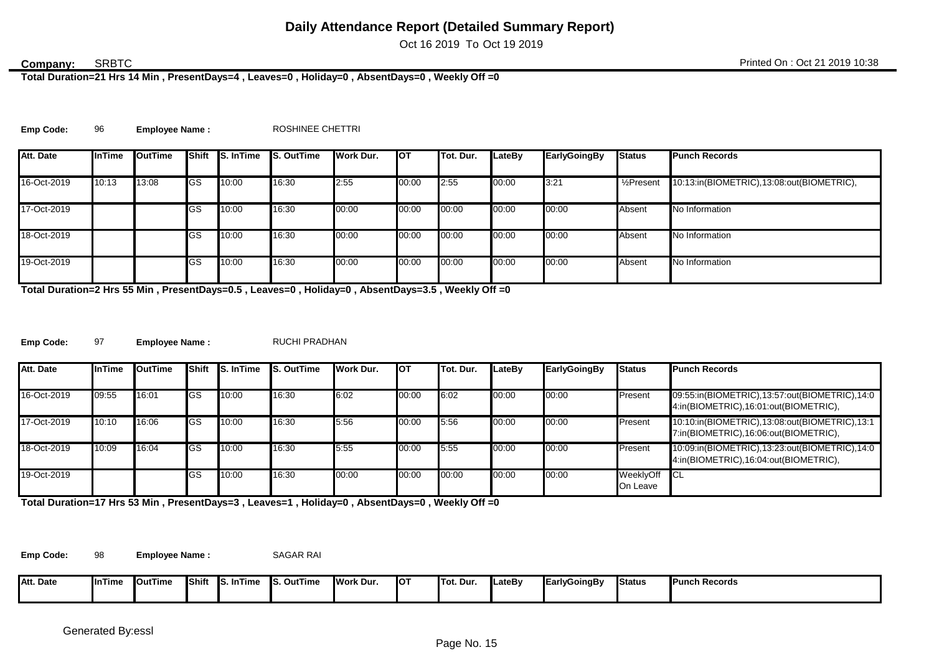Oct 16 2019 To Oct 19 2019

### SRBTC

**Total Duration=21 Hrs 14 Min , PresentDays=4 , Leaves=0 , Holiday=0 , AbsentDays=0 , Weekly Off =0**

| <b>Emp Code:</b> | <b>Employee Name:</b> | ROSHINEE CHETTRI |
|------------------|-----------------------|------------------|
|                  |                       |                  |

| Att. Date   | <b>InTime</b> | <b>I</b> OutTime |            | Shift S. In Time | <b>S. OutTime</b> | Work Dur. | <b>I</b> OT | <b>ITot. Dur.</b> | LateBy | <b>EarlyGoingBy</b> | <b>Status</b>           | <b>Punch Records</b>                      |
|-------------|---------------|------------------|------------|------------------|-------------------|-----------|-------------|-------------------|--------|---------------------|-------------------------|-------------------------------------------|
|             |               |                  |            |                  |                   |           |             |                   |        |                     |                         |                                           |
| 16-Oct-2019 | 10:13         | 13:08            | <b>GS</b>  | 10:00            | 16:30             | 2:55      | 00:00       | 2:55              | 00:00  | 3:21                | 1/ <sub>2</sub> Present | 10:13:in(BIOMETRIC),13:08:out(BIOMETRIC), |
| 17-Oct-2019 |               |                  | <b>IGS</b> | 10:00            | 16:30             | 00:00     | 00:00       | 00:00             | 00:00  | 00:00               | Absent                  | No Information                            |
| 18-Oct-2019 |               |                  | GS         | 10:00            | 16:30             | 00:00     | 00:00       | 00:00             | 00:00  | 00:00               | Absent                  | No Information                            |
| 19-Oct-2019 |               |                  | GS         | 10:00            | 16:30             | 00:00     | 00:00       | 00:00             | 00:00  | 00:00               | Absent                  | No Information                            |

**Total Duration=2 Hrs 55 Min , PresentDays=0.5 , Leaves=0 , Holiday=0 , AbsentDays=3.5 , Weekly Off =0**

**Emp Code:** 97 Employee Name : RUCHI PRADHAN

| Att. Date   | <b>InTime</b> | OutTime |             | <b>Shift IS. In Time</b> | <b>S. OutTime</b> | Work Dur. | <b>I</b> OT | Tot. Dur. | LateBv | EarlyGoingBy | <b>Status</b>         | <b>Punch Records</b>                                                                   |
|-------------|---------------|---------|-------------|--------------------------|-------------------|-----------|-------------|-----------|--------|--------------|-----------------------|----------------------------------------------------------------------------------------|
| 16-Oct-2019 | 09:55         | 16:01   | <b>I</b> GS | 10:00                    | 16:30             | 6:02      | 00:00       | 6:02      | 00:00  | 00:00        | Present               | 09:55:in(BIOMETRIC),13:57:out(BIOMETRIC),14:0<br>4:in(BIOMETRIC),16:01:out(BIOMETRIC), |
| 17-Oct-2019 | 10:10         | 16:06   | <b>I</b> GS | 10:00                    | 16:30             | 5:56      | 00:00       | 5:56      | 00:00  | 00:00        | Present               | 10:10:in(BIOMETRIC),13:08:out(BIOMETRIC),13:1<br>7:in(BIOMETRIC),16:06:out(BIOMETRIC), |
| 18-Oct-2019 | 10:09         | 16:04   | <b>I</b> GS | 10:00                    | 16:30             | 5:55      | 00:00       | 5:55      | 00:00  | 00:00        | Present               | 10:09:in(BIOMETRIC),13:23:out(BIOMETRIC),14:0<br>4:in(BIOMETRIC),16:04:out(BIOMETRIC), |
| 19-Oct-2019 |               |         | lGS         | 10:00                    | 16:30             | 00:00     | 00:00       | 00:00     | 00:00  | 00:00        | WeeklyOff<br>On Leave | <b>ICL</b>                                                                             |

**Total Duration=17 Hrs 53 Min , PresentDays=3 , Leaves=1 , Holiday=0 , AbsentDays=0 , Weekly Off =0**

Emp Code: 98 **Employee Name :** SAGAR RAI

| Δtt              |                       | <b>OutTime</b> | <b>Shift</b> | ່∽Time ∴<br>ıс | . .<br><b>S. OutTime</b> | <b>I</b> Work Dur. | <b>IO1</b> | <b>ITot. Dur.</b> | <b>LateB</b> | <b>JEarly</b>    | <b>Status</b> | <b>Punch Records</b> |
|------------------|-----------------------|----------------|--------------|----------------|--------------------------|--------------------|------------|-------------------|--------------|------------------|---------------|----------------------|
| <b>Att. Date</b> | $\blacksquare$ InTime |                |              | 10. I          |                          |                    |            |                   |              | <b>IyGoingBy</b> |               |                      |
|                  |                       |                |              |                |                          |                    |            |                   |              |                  |               |                      |
|                  |                       |                |              |                |                          |                    |            |                   |              |                  |               |                      |
|                  |                       |                |              |                |                          |                    |            |                   |              |                  |               |                      |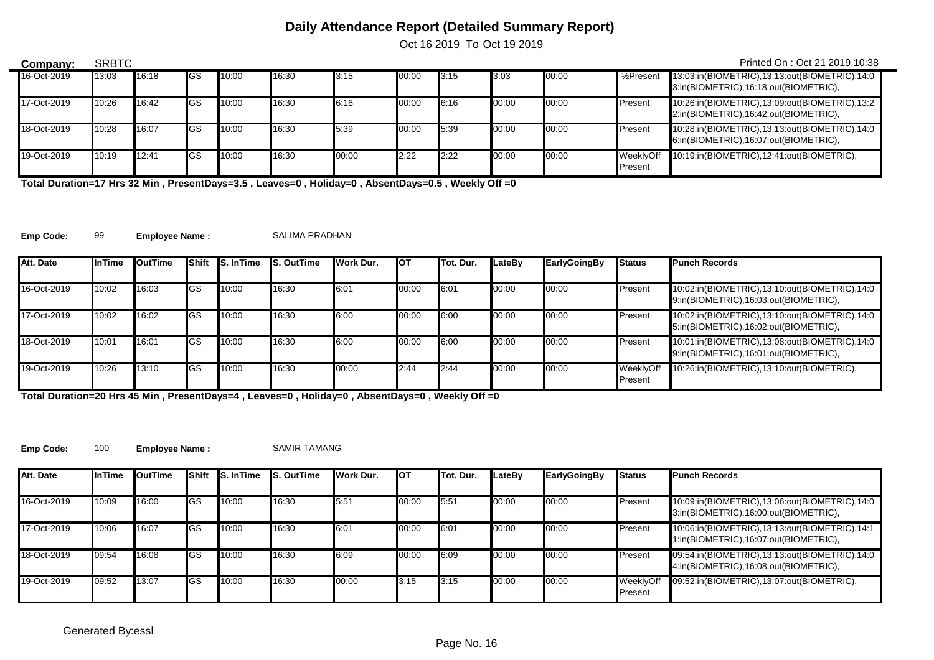Oct 16 2019 To Oct 19 2019

| Company:    | <b>SRBTC</b> |       |             |       |       |       |       |      |       |       |                         | Printed On: Oct 21 2019 10:38                                                          |
|-------------|--------------|-------|-------------|-------|-------|-------|-------|------|-------|-------|-------------------------|----------------------------------------------------------------------------------------|
| 16-Oct-2019 | 13:03        | 16:18 | <b>I</b> GS | 10:00 | 16:30 | 3:15  | 00:00 | 3:15 | 3:03  | 00:00 | 1/ <sub>2</sub> Present | 13:03:in(BIOMETRIC),13:13:out(BIOMETRIC),14:0<br>3:in(BIOMETRIC),16:18:out(BIOMETRIC), |
| 17-Oct-2019 | 10:26        | 16:42 | <b>I</b> GS | 10:00 | 16:30 | 6:16  | 00:00 | 6:16 | 00:00 | 00:00 | Present                 | 10:26:in(BIOMETRIC),13:09:out(BIOMETRIC),13:2<br>2:in(BIOMETRIC),16:42:out(BIOMETRIC), |
| 18-Oct-2019 | 10:28        | 16:07 | <b>I</b> GS | 10:00 | 16:30 | 5:39  | 00:00 | 5:39 | 00:00 | 00:00 | Present                 | 10:28:in(BIOMETRIC),13:13:out(BIOMETRIC),14:0<br>6:in(BIOMETRIC),16:07:out(BIOMETRIC), |
| 19-Oct-2019 | 10:19        | 12:41 | <b>I</b> GS | 10:00 | 16:30 | 00:00 | 2:22  | 2:22 | 00:00 | 00:00 | WeeklvOff<br>Present    | 10:19:in(BIOMETRIC),12:41:out(BIOMETRIC),                                              |

**Total Duration=17 Hrs 32 Min , PresentDays=3.5 , Leaves=0 , Holiday=0 , AbsentDays=0.5 , Weekly Off =0**

**Emp Code:** 99 **Employee Name :** SALIMA PRADHAN

 $\overline{\phantom{0}}$ 

| Att. Date   | <b>I</b> InTime | <b>I</b> OutTime | <b>I</b> Shift | <b>S.</b> InTime | <b>IS. OutTime</b> | Work Dur. | Iот   | <b>ITot. Dur.</b> | LateBv | EarlyGoingBy | <b>Status</b>        | <b>Punch Records</b>                                                                   |
|-------------|-----------------|------------------|----------------|------------------|--------------------|-----------|-------|-------------------|--------|--------------|----------------------|----------------------------------------------------------------------------------------|
|             |                 |                  |                |                  |                    |           |       |                   |        |              |                      |                                                                                        |
| 16-Oct-2019 | 10:02           | 16:03            | <b>I</b> GS    | 10:00            | 16:30              | 6:01      | 00:00 | 6:01              | 00:00  | 00:00        | Present              | 10:02:in(BIOMETRIC),13:10:out(BIOMETRIC),14:0<br>9:in(BIOMETRIC),16:03:out(BIOMETRIC), |
| 17-Oct-2019 | 10:02           | 16:02            | <b>I</b> GS    | 10:00            | 16:30              | 6:00      | 00:00 | 6:00              | 00:00  | 00:00        | Present              | 10:02:in(BIOMETRIC),13:10:out(BIOMETRIC),14:0<br>5:in(BIOMETRIC),16:02:out(BIOMETRIC), |
| 18-Oct-2019 | 10:01           | 16:01            | <b>I</b> GS    | 10:00            | 16:30              | 6:00      | 00:00 | 6:00              | 00:00  | 00:00        | Present              | 10:01:in(BIOMETRIC),13:08:out(BIOMETRIC),14:0<br>9:in(BIOMETRIC),16:01:out(BIOMETRIC), |
| 19-Oct-2019 | 10:26           | 13:10            | <b>I</b> GS    | 10:00            | 16:30              | 00:00     | 2:44  | 2:44              | 00:00  | 00:00        | WeeklyOff<br>Present | 10:26:in(BIOMETRIC),13:10:out(BIOMETRIC),                                              |

**Total Duration=20 Hrs 45 Min , PresentDays=4 , Leaves=0 , Holiday=0 , AbsentDays=0 , Weekly Off =0**

**Emp Code:** 100 **Employee Name :** SAMIR TAMANG

| Att. Date   | <b>InTime</b> | OutTime | Shift       | <b>S.</b> InTime | <b>S. OutTime</b> | <b>I</b> Work Dur. | Iот   | <b>ITot. Dur.</b> | LateBv | <b>EarlyGoingBy</b> | <b>Status</b>        | <b>Punch Records</b>                                                                   |
|-------------|---------------|---------|-------------|------------------|-------------------|--------------------|-------|-------------------|--------|---------------------|----------------------|----------------------------------------------------------------------------------------|
| 16-Oct-2019 | 10:09         | 16:00   | lGS         | 10:00            | 16:30             | 5:51               | 00:00 | 5:51              | 00:00  | 00:00               | Present              | 10:09:in(BIOMETRIC),13:06:out(BIOMETRIC),14:0<br>3:in(BIOMETRIC),16:00:out(BIOMETRIC), |
| 17-Oct-2019 | 10:06         | 16:07   | <b>IGS</b>  | 10:00            | 16:30             | 6:01               | 00:00 | 6:01              | 00:00  | 00:00               | Present              | 10:06:in(BIOMETRIC),13:13:out(BIOMETRIC),14:1<br>1:in(BIOMETRIC),16:07:out(BIOMETRIC), |
| 18-Oct-2019 | 09:54         | 16:08   | <b>I</b> GS | 10:00            | 16:30             | 6:09               | 00:00 | 6:09              | 00:00  | 00:00               | Present              | 09:54:in(BIOMETRIC),13:13:out(BIOMETRIC),14:0<br>4:in(BIOMETRIC),16:08:out(BIOMETRIC), |
| 19-Oct-2019 | 09:52         | 13:07   | lGS         | 10:00            | 16:30             | 00:00              | 3:15  | 3:15              | 00:00  | 00:00               | WeeklyOff<br>Present | 09:52:in(BIOMETRIC),13:07:out(BIOMETRIC),                                              |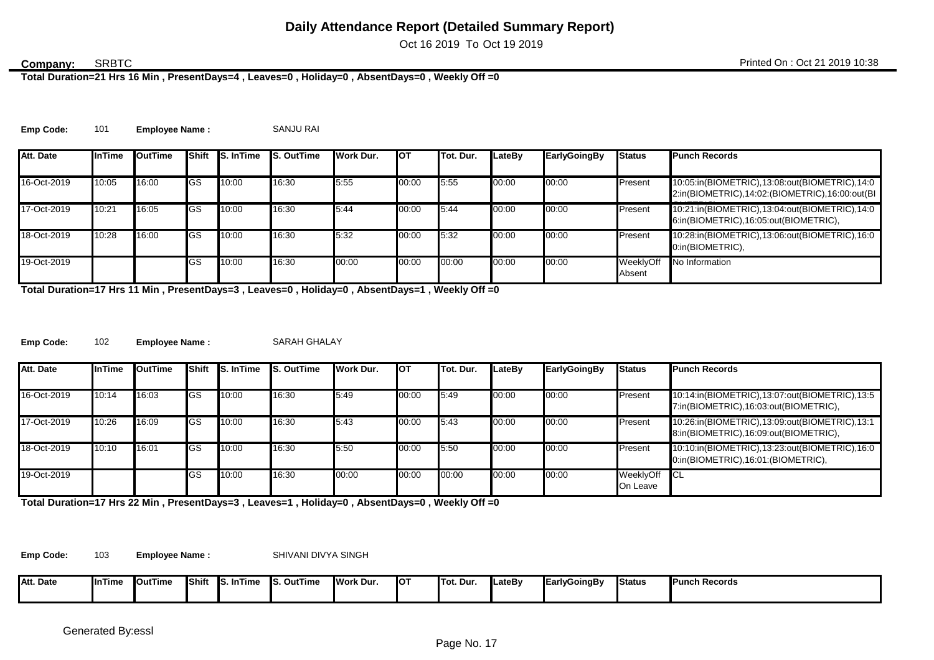Oct 16 2019 To Oct 19 2019

### **SRBTC**

**Total Duration=21 Hrs 16 Min , PresentDays=4 , Leaves=0 , Holiday=0 , AbsentDays=0 , Weekly Off =0**

**Emp Code:** 101 **Employee Name :** SANJU RAI

| Att. Date   | <b>InTime</b> | <b>OutTime</b> | <b>Shift</b> | <b>S.</b> InTime | <b>S. OutTime</b> | Work Dur. | <b>I</b> OT | Tot. Dur. | LateBv | <b>EarlyGoingBy</b> | <b>Status</b>       | <b>Punch Records</b>                                                                            |
|-------------|---------------|----------------|--------------|------------------|-------------------|-----------|-------------|-----------|--------|---------------------|---------------------|-------------------------------------------------------------------------------------------------|
| 16-Oct-2019 | 10:05         | 16:00          | <b>IGS</b>   | 10:00            | 16:30             | 5:55      | 00:00       | 5:55      | 00:00  | 00:00               | Present             | 10:05:in(BIOMETRIC),13:08:out(BIOMETRIC),14:0<br>2:in(BIOMETRIC),14:02:(BIOMETRIC),16:00:out(BI |
| 17-Oct-2019 | 10:21         | 16:05          | <b>IGS</b>   | 10:00            | 16:30             | 5:44      | 00:00       | 5:44      | 00:00  | 00:00               | Present             | 10:21:in(BIOMETRIC),13:04:out(BIOMETRIC),14:0<br>6:in(BIOMETRIC),16:05:out(BIOMETRIC),          |
| 18-Oct-2019 | 10:28         | 16:00          | <b>I</b> GS  | 10:00            | 16:30             | 5:32      | 00:00       | 5:32      | 00:00  | 00:00               | Present             | 10:28:in(BIOMETRIC),13:06:out(BIOMETRIC),16:0<br>0:in(BIOMETRIC),                               |
| 19-Oct-2019 |               |                | <b>GS</b>    | 10:00            | 16:30             | 00:00     | 00:00       | 00:00     | 00:00  | 00:00               | WeeklyOff<br>Absent | No Information                                                                                  |

**Total Duration=17 Hrs 11 Min , PresentDays=3 , Leaves=0 , Holiday=0 , AbsentDays=1 , Weekly Off =0**

**Emp Code:** 102 **Employee Name :** SARAH GHALAY

| Att. Date   | <b>InTime</b> | <b>I</b> OutTime | <b>IShift</b> | <b>S. In Time</b> | <b>S. OutTime</b> | Work Dur. | Iот   | Tot. Dur. | LateBv | <b>EarlyGoingBy</b> | <b>Status</b>            | <b>Punch Records</b>                                                                   |
|-------------|---------------|------------------|---------------|-------------------|-------------------|-----------|-------|-----------|--------|---------------------|--------------------------|----------------------------------------------------------------------------------------|
| 16-Oct-2019 | 10:14         | 16:03            | <b>IGS</b>    | 10:00             | 16:30             | 5:49      | 00:00 | 5:49      | 00:00  | 00:00               | Present                  | 10:14:in(BIOMETRIC),13:07:out(BIOMETRIC),13:5<br>7:in(BIOMETRIC),16:03:out(BIOMETRIC), |
| 17-Oct-2019 | 10:26         | 16:09            | <b>I</b> GS   | 10:00             | 16:30             | 5:43      | 00:00 | 5:43      | 00:00  | 00:00               | Present                  | 10:26:in(BIOMETRIC),13:09:out(BIOMETRIC),13:1<br>8:in(BIOMETRIC),16:09:out(BIOMETRIC), |
| 18-Oct-2019 | 10:10         | 16:01            | <b>I</b> GS   | 10:00             | 16:30             | 5.50      | 00:00 | 5:50      | 00:00  | 00:00               | Present                  | 10:10:in(BIOMETRIC),13:23:out(BIOMETRIC),16:0<br>0:in(BIOMETRIC),16:01:(BIOMETRIC),    |
| 19-Oct-2019 |               |                  | <b>I</b> GS   | 10:00             | 16:30             | 00:00     | 00:00 | 00:00     | 00:00  | 00:00               | WeeklyOff CL<br>On Leave |                                                                                        |

**Total Duration=17 Hrs 22 Min , PresentDays=3 , Leaves=1 , Holiday=0 , AbsentDays=0 , Weekly Off =0**

**Emp Code:** 103

**Employee Name :** SHIVANI DIVYA SINGH

| Att. Date | InTime | <b>I</b> OutTime | <b>IShift</b> | inTim<br><b>IS.I</b> | . OutTime | <b>IWork Dur.</b> | <b>IOT</b> | <b>ITοι.</b><br>. Dur | LateBy | EarlyGoingBy | <b>Status</b> | <b>Punch Records</b> |
|-----------|--------|------------------|---------------|----------------------|-----------|-------------------|------------|-----------------------|--------|--------------|---------------|----------------------|
|           |        |                  |               |                      |           |                   |            |                       |        |              |               |                      |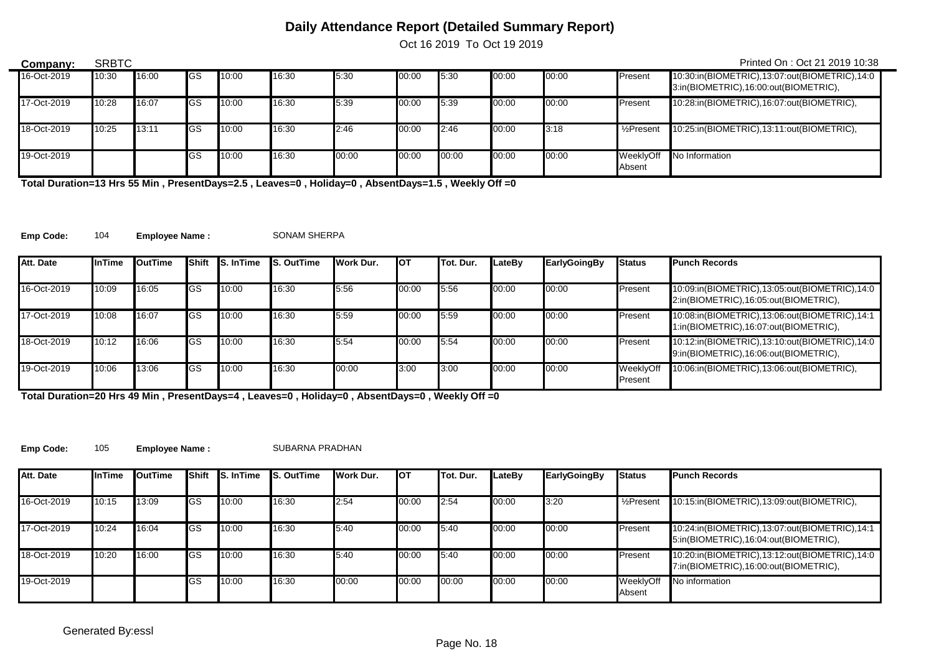Oct 16 2019 To Oct 19 2019

| Company:    | <b>SRBTC</b> |       |             |       |       |       |       |       |       |       |                       | Printed On: Oct 21 2019 10:38                                                          |
|-------------|--------------|-------|-------------|-------|-------|-------|-------|-------|-------|-------|-----------------------|----------------------------------------------------------------------------------------|
| 16-Oct-2019 | 10:30        | 16:00 | <b>I</b> GS | 10:00 | 16:30 | 5:30  | 00:00 | 5:30  | 00:00 | 00:00 | Present               | 10:30:in(BIOMETRIC),13:07:out(BIOMETRIC),14:0<br>3:in(BIOMETRIC),16:00:out(BIOMETRIC), |
| 17-Oct-2019 | 10:28        | 16:07 | <b>I</b> GS | 10:00 | 16:30 | 5:39  | 00:00 | 5:39  | 00:00 | 00:00 | Present               | 10:28:in(BIOMETRIC),16:07:out(BIOMETRIC),                                              |
| 18-Oct-2019 | 10:25        | 13:11 | <b>I</b> GS | 10:00 | 16:30 | 2:46  | 00:00 | 2:46  | 00:00 | 3:18  | $\frac{1}{2}$ Present | 10:25:in(BIOMETRIC),13:11:out(BIOMETRIC),                                              |
| 19-Oct-2019 |              |       | <b>IGS</b>  | 10:00 | 16:30 | 00:00 | 00:00 | 00:00 | 00:00 | 00:00 | WeeklyOff<br>Absent   | No Information                                                                         |

**Total Duration=13 Hrs 55 Min , PresentDays=2.5 , Leaves=0 , Holiday=0 , AbsentDays=1.5 , Weekly Off =0**

**Emp Code:** 104 Employee Name : SONAM SHERPA

 $\overline{\phantom{0}}$ 

| Att. Date   | <b>InTime</b> | OutTime |             | Shift S. In Time | <b>IS. OutTime</b> | <b>I</b> Work Dur. | Iот   | <b>ITot. Dur.</b> | LateBv | <b>EarlyGoingBy</b> | <b>Status</b>        | <b>Punch Records</b>                                                                   |
|-------------|---------------|---------|-------------|------------------|--------------------|--------------------|-------|-------------------|--------|---------------------|----------------------|----------------------------------------------------------------------------------------|
| 16-Oct-2019 | 10:09         | 16:05   | <b>I</b> GS | 10:00            | 16:30              | 5:56               | 00:00 | 5:56              | 00:00  | 00:00               | Present              | 10:09:in(BIOMETRIC),13:05:out(BIOMETRIC),14:0<br>2:in(BIOMETRIC),16:05:out(BIOMETRIC), |
| 17-Oct-2019 | 10:08         | 16:07   | <b>I</b> GS | 10:00            | 16:30              | 5:59               | 00:00 | 5:59              | 00:00  | 00:00               | Present              | 10:08:in(BIOMETRIC),13:06:out(BIOMETRIC),14:1<br>1:in(BIOMETRIC),16:07:out(BIOMETRIC), |
| 18-Oct-2019 | 10:12         | 16:06   | <b>I</b> GS | 10:00            | 16:30              | 5:54               | 00:00 | 5:54              | 00:00  | 00:00               | Present              | 10:12:in(BIOMETRIC),13:10:out(BIOMETRIC),14:0<br>9:in(BIOMETRIC),16:06:out(BIOMETRIC), |
| 19-Oct-2019 | 10:06         | 13:06   | <b>I</b> GS | 10:00            | 16:30              | 00:00              | 3:00  | 3:00              | 00:00  | 00:00               | WeeklyOff<br>Present | 10:06:in(BIOMETRIC),13:06:out(BIOMETRIC),                                              |

**Total Duration=20 Hrs 49 Min , PresentDays=4 , Leaves=0 , Holiday=0 , AbsentDays=0 , Weekly Off =0**

**Emp Code:** 105 **Employee Name :** SUBARNA PRADHAN

| Att. Date   | <b>InTime</b> | OutTime | Shift      | <b>S.</b> InTime | <b>S. OutTime</b> | Work Dur. | <b>I</b> OT | Tot. Dur. | LateBv | <b>EarlyGoingBy</b> | <b>Status</b>         | <b>Punch Records</b>                                                                   |
|-------------|---------------|---------|------------|------------------|-------------------|-----------|-------------|-----------|--------|---------------------|-----------------------|----------------------------------------------------------------------------------------|
| 16-Oct-2019 | 10:15         | 13:09   | <b>IGS</b> | 10:00            | 16:30             | 2:54      | 00:00       | 2:54      | 00:00  | 3:20                | $\frac{1}{2}$ Present | 10:15:in(BIOMETRIC),13:09:out(BIOMETRIC),                                              |
| 17-Oct-2019 | 10:24         | 16:04   | <b>IGS</b> | 10:00            | 16:30             | 5:40      | 00:00       | 5:40      | 00:00  | 00:00               | <b>Present</b>        | 10:24:in(BIOMETRIC),13:07:out(BIOMETRIC),14:1<br>5:in(BIOMETRIC),16:04:out(BIOMETRIC), |
| 18-Oct-2019 | 10:20         | 16:00   | <b>IGS</b> | 10:00            | 16:30             | 5:40      | 00:00       | 5:40      | 00:00  | 00:00               | Present               | 10:20:in(BIOMETRIC),13:12:out(BIOMETRIC),14:0<br>7:in(BIOMETRIC),16:00:out(BIOMETRIC), |
| 19-Oct-2019 |               |         | lGS        | 10:00            | 16:30             | 00:00     | 00:00       | 00:00     | 00:00  | 00:00               | WeeklyOff<br>Absent   | No information                                                                         |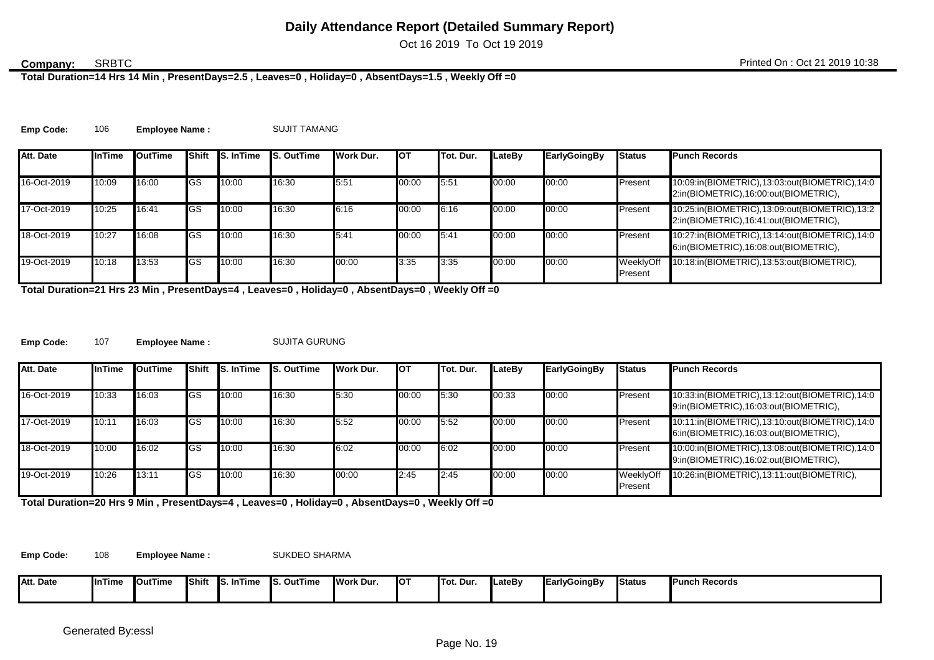Oct 16 2019 To Oct 19 2019

#### **SRBTC**

**Total Duration=14 Hrs 14 Min , PresentDays=2.5 , Leaves=0 , Holiday=0 , AbsentDays=1.5 , Weekly Off =0**

**Emp Code:** 106 **Employee Name :** SUJIT TAMANG

| Att. Date   | <b>InTime</b> | OutTime | <b>I</b> Shift | <b>S.</b> InTime | <b>S. OutTime</b> | <b>I</b> Work Dur. | <b>I</b> OT | <b>ITot. Dur.</b> | LateBv | <b>EarlyGoingBy</b> | <b>Status</b>        | <b>Punch Records</b>                                                                   |
|-------------|---------------|---------|----------------|------------------|-------------------|--------------------|-------------|-------------------|--------|---------------------|----------------------|----------------------------------------------------------------------------------------|
| 16-Oct-2019 | 10:09         | 16:00   | <b>I</b> GS    | 10:00            | 16:30             | 5:51               | 00:00       | 5:51              | 00:00  | 00:00               | Present              | 10:09:in(BIOMETRIC),13:03:out(BIOMETRIC),14:0<br>2:in(BIOMETRIC),16:00:out(BIOMETRIC), |
| 17-Oct-2019 | 10:25         | 16:41   | <b>IGS</b>     | 10:00            | 16:30             | 6:16               | 00:00       | 6:16              | 00:00  | 00:00               | Present              | 10:25:in(BIOMETRIC),13:09:out(BIOMETRIC),13:2<br>2:in(BIOMETRIC),16:41:out(BIOMETRIC), |
| 18-Oct-2019 | 10:27         | 16:08   | lGS            | 10:00            | 16:30             | 5:41               | 00:00       | 15.41             | 00:00  | 00:00               | Present              | 10:27:in(BIOMETRIC),13:14:out(BIOMETRIC),14:0<br>6:in(BIOMETRIC),16:08:out(BIOMETRIC), |
| 19-Oct-2019 | 10:18         | 13:53   | <b>IGS</b>     | 10:00            | 16:30             | 00:00              | 3:35        | 3:35              | 00:00  | 00:00               | WeeklyOff<br>Present | 10:18:in(BIOMETRIC),13:53:out(BIOMETRIC),                                              |

**Total Duration=21 Hrs 23 Min , PresentDays=4 , Leaves=0 , Holiday=0 , AbsentDays=0 , Weekly Off =0**

**Emp Code:** 107 **Employee Name :** SUJITA GURUNG

| Att. Date   | <b>InTime</b> | OutTime | Shift      | <b>S.</b> InTime | <b>S. OutTime</b> | Work Dur. | <b>I</b> OT | Tot. Dur. | LateBv | <b>EarlyGoingBy</b> | <b>Status</b>        | <b>Punch Records</b>                                                                   |
|-------------|---------------|---------|------------|------------------|-------------------|-----------|-------------|-----------|--------|---------------------|----------------------|----------------------------------------------------------------------------------------|
| 16-Oct-2019 | 10:33         | 16:03   | <b>IGS</b> | 10:00            | 16:30             | 5:30      | 00:00       | 5:30      | 00:33  | 00:00               | Present              | 10:33:in(BIOMETRIC),13:12:out(BIOMETRIC),14:0<br>9:in(BIOMETRIC),16:03:out(BIOMETRIC), |
| 17-Oct-2019 | 10:11         | 16:03   | lGS        | 10:00            | 16:30             | 5.52      | 00:00       | 5:52      | 00:00  | 00:00               | Present              | 10:11:in(BIOMETRIC),13:10:out(BIOMETRIC),14:0<br>6:in(BIOMETRIC),16:03:out(BIOMETRIC), |
| 18-Oct-2019 | 10:00         | 16:02   | <b>IGS</b> | 10:00            | 16:30             | 6:02      | 00:00       | 6:02      | 00:00  | 00:00               | Present              | 10:00:in(BIOMETRIC),13:08:out(BIOMETRIC),14:0<br>9:in(BIOMETRIC),16:02:out(BIOMETRIC), |
| 19-Oct-2019 | 10:26         | 13:11   | <b>IGS</b> | 10:00            | 16:30             | 00:00     | 2:45        | 2:45      | 00:00  | 00:00               | WeeklyOff<br>Present | 10:26:in(BIOMETRIC),13:11:out(BIOMETRIC),                                              |

**Total Duration=20 Hrs 9 Min , PresentDays=4 , Leaves=0 , Holiday=0 , AbsentDays=0 , Weekly Off =0**

**Emp Code:** 108 **Employee Name :** SUKDEO SHARMA

| Att. Date | nTime | <b>OutTime</b> | <b>IShift</b> | nTime<br>IS. | S. OutTime | <b>Work Dur.</b> | IO1 | Tot. Dur. | <b>LateBv</b> | <b>EarlyGoingBy</b> | <b>Status</b> | <b>Punch Records</b> |
|-----------|-------|----------------|---------------|--------------|------------|------------------|-----|-----------|---------------|---------------------|---------------|----------------------|
|           |       |                |               |              |            |                  |     |           |               |                     |               |                      |
|           |       |                |               |              |            |                  |     |           |               |                     |               |                      |
|           |       |                |               |              |            |                  |     |           |               |                     |               |                      |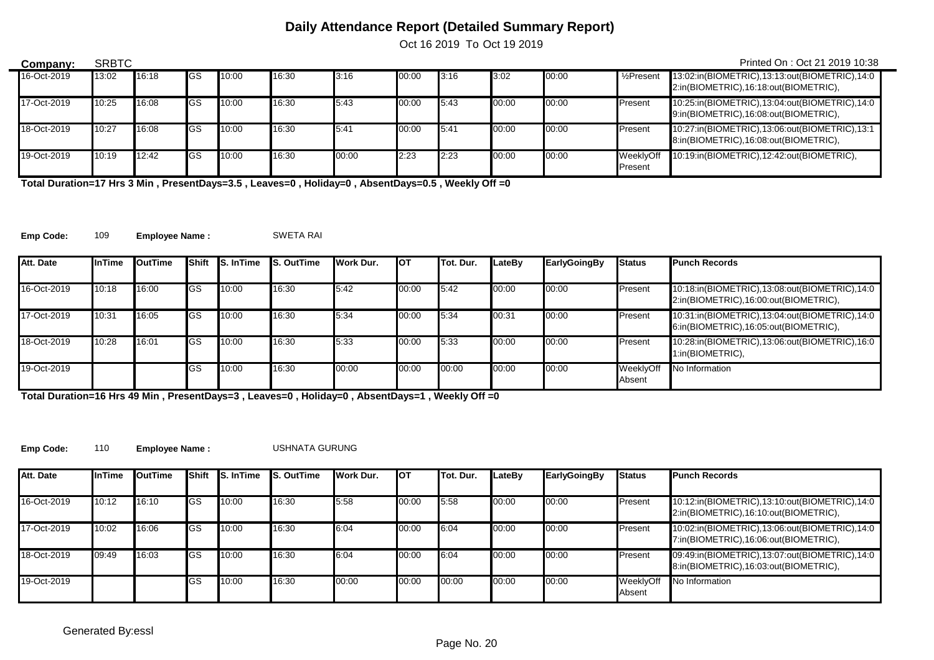Oct 16 2019 To Oct 19 2019

| Company:    | <b>SRBTC</b><br>Printed On: Oct 21 2019 10:38 |       |             |       |       |       |       |         |       |       |                         |                                                                                        |  |  |
|-------------|-----------------------------------------------|-------|-------------|-------|-------|-------|-------|---------|-------|-------|-------------------------|----------------------------------------------------------------------------------------|--|--|
| 16-Oct-2019 | 13:02                                         | 16:18 | <b>I</b> GS | 10:00 | 16:30 | 3:16  | 00:00 | 3:16    | 3:02  | 00:00 | 1/ <sub>2</sub> Present | 13:02:in(BIOMETRIC),13:13:out(BIOMETRIC),14:0<br>2:in(BIOMETRIC),16:18:out(BIOMETRIC), |  |  |
| 17-Oct-2019 | 10:25                                         | 16:08 | <b>I</b> GS | 10:00 | 16:30 | 5:43  | 00:00 | 5:43    | 00:00 | 00:00 | Present                 | 10:25:in(BIOMETRIC),13:04:out(BIOMETRIC),14:0<br>9:in(BIOMETRIC),16:08:out(BIOMETRIC), |  |  |
| 18-Oct-2019 | 10:27                                         | 16:08 | <b>I</b> GS | 10:00 | 16:30 | 5:41  | 00:00 | $-5:41$ | 00:00 | 00:00 | Present                 | 10:27:in(BIOMETRIC),13:06:out(BIOMETRIC),13:1<br>8:in(BIOMETRIC),16:08:out(BIOMETRIC), |  |  |
| 19-Oct-2019 | 10:19                                         | 12:42 | <b>I</b> GS | 10:00 | 16:30 | 00:00 | 2:23  | 2:23    | 00:00 | 00:00 | WeeklvOff<br>Present    | 10:19:in(BIOMETRIC),12:42:out(BIOMETRIC),                                              |  |  |

**Total Duration=17 Hrs 3 Min , PresentDays=3.5 , Leaves=0 , Holiday=0 , AbsentDays=0.5 , Weekly Off =0**

**Emp Code:** 109 **Employee Name :** SWETA RAI

 $\overline{\phantom{0}}$ 

| Att. Date   | InTime | <b>I</b> OutTime |            | <b>Shift IS. In Time</b> | <b>S. OutTime</b> | Work Dur. | Іот   | Tot. Dur. | LateBv | <b>EarlyGoingBy</b> | <b>Status</b>       | <b>Punch Records</b>                                                                   |
|-------------|--------|------------------|------------|--------------------------|-------------------|-----------|-------|-----------|--------|---------------------|---------------------|----------------------------------------------------------------------------------------|
|             |        |                  |            |                          |                   |           |       |           |        |                     |                     |                                                                                        |
| 16-Oct-2019 | 10:18  | 16:00            | IGS        | 10:00                    | 16:30             | 5:42      | 00:00 | 5:42      | 00:00  | 00:00               | Present             | 10:18:in(BIOMETRIC),13:08:out(BIOMETRIC),14:0<br>2:in(BIOMETRIC),16:00:out(BIOMETRIC), |
| 17-Oct-2019 | 10:31  | 16:05            | <b>IGS</b> | 10:00                    | 16:30             | 5:34      | 00:00 | 5:34      | 00:31  | 00:00               | Present             | 10:31:in(BIOMETRIC),13:04:out(BIOMETRIC),14:0<br>6:in(BIOMETRIC),16:05:out(BIOMETRIC), |
| 18-Oct-2019 | 10:28  | 16:01            | IGS        | 10:00                    | 16:30             | 5:33      | 00:00 | 5:33      | 00:00  | 00:00               | Present             | 10:28:in(BIOMETRIC),13:06:out(BIOMETRIC),16:0<br>1:in(BIOMETRIC),                      |
| 19-Oct-2019 |        |                  | <b>GS</b>  | 10:00                    | 16:30             | 00:00     | 00:00 | 00:00     | 00:00  | 00:00               | WeeklyOff<br>Absent | No Information                                                                         |

**Total Duration=16 Hrs 49 Min , PresentDays=3 , Leaves=0 , Holiday=0 , AbsentDays=1 , Weekly Off =0**

**Emp Code:** 110 **Employee Name :** USHNATA GURUNG

| Att. Date   | <b>InTime</b> | OutTime | Shift      | <b>S. In Time</b> | <b>S. OutTime</b> | <b>I</b> Work Dur. | Іот   | Tot. Dur. | LateBv | EarlyGoingBy | <b>Status</b>       | <b>Punch Records</b>                                                                   |
|-------------|---------------|---------|------------|-------------------|-------------------|--------------------|-------|-----------|--------|--------------|---------------------|----------------------------------------------------------------------------------------|
| 16-Oct-2019 | 10:12         | 16:10   | <b>IGS</b> | 10:00             | 16:30             | 5.58               | 00:00 | 5:58      | 00:00  | 00:00        | Present             | 10:12:in(BIOMETRIC),13:10:out(BIOMETRIC),14:0<br>2:in(BIOMETRIC),16:10:out(BIOMETRIC), |
| 17-Oct-2019 | 10:02         | 16:06   | <b>IGS</b> | 10:00             | 16:30             | 6:04               | 00:00 | 6:04      | 00:00  | 00:00        | Present             | 10:02:in(BIOMETRIC),13:06:out(BIOMETRIC),14:0<br>7:in(BIOMETRIC),16:06:out(BIOMETRIC), |
| 18-Oct-2019 | 09:49         | 16:03   | lGS        | 10:00             | 16:30             | 6:04               | 00:00 | 6:04      | 00:00  | 00:00        | Present             | 09:49:in(BIOMETRIC),13:07:out(BIOMETRIC),14:0<br>8:in(BIOMETRIC),16:03:out(BIOMETRIC), |
| 19-Oct-2019 |               |         | lGS        | 10:00             | 16:30             | 00:00              | 00:00 | 00:00     | 00:00  | 00:00        | WeeklyOff<br>Absent | No Information                                                                         |